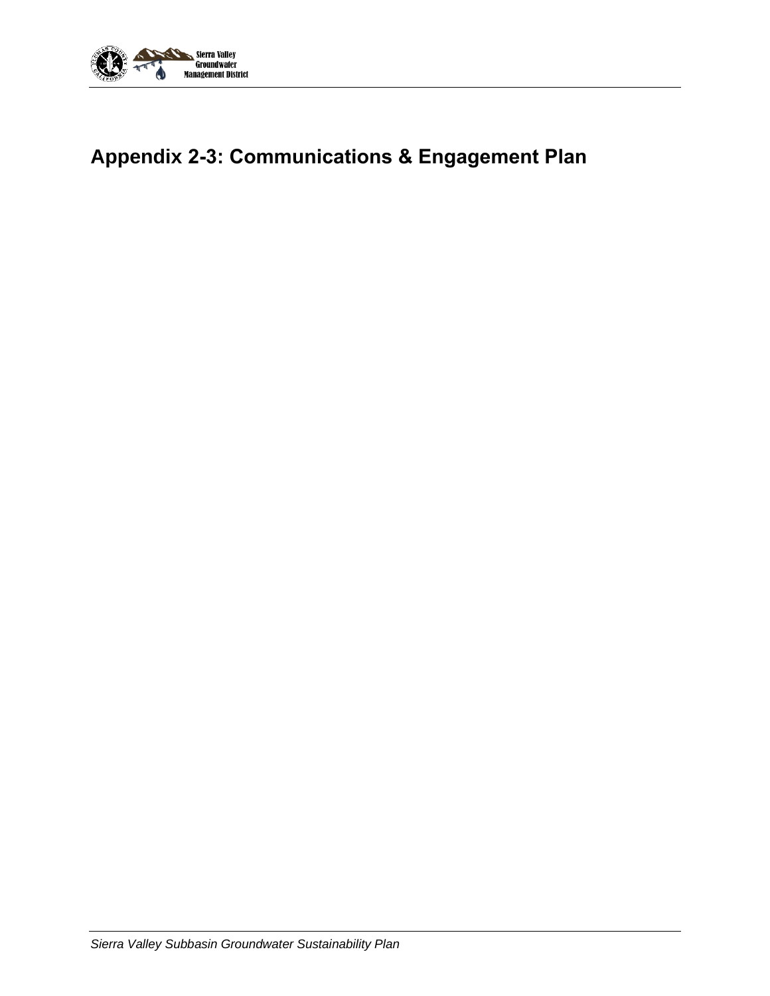

# **Appendix 2-3: Communications & Engagement Plan**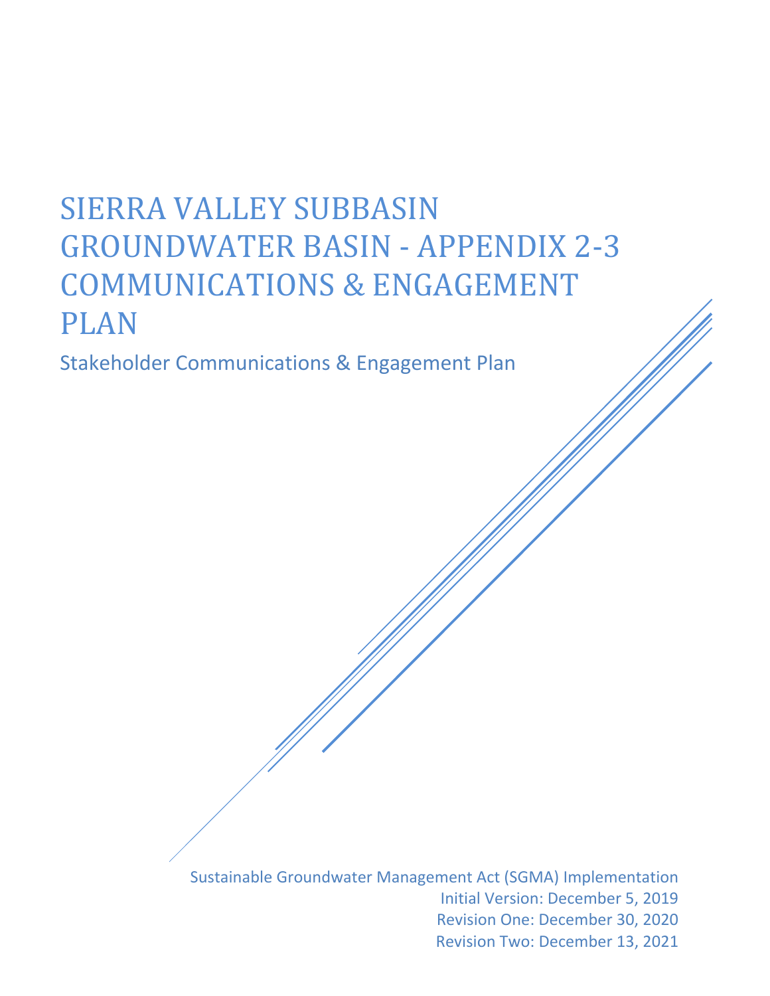# SIERRA VALLEY SUBBASIN GROUNDWATER BASIN - APPENDIX 2-3 COMMUNICATIONS & ENGAGEMENT PLAN

Stakeholder Communications & Engagement Plan

Sustainable Groundwater Management Act (SGMA) Implementation Initial Version: December 5, 2019 Revision One: December 30, 2020 Revision Two: December 13, 2021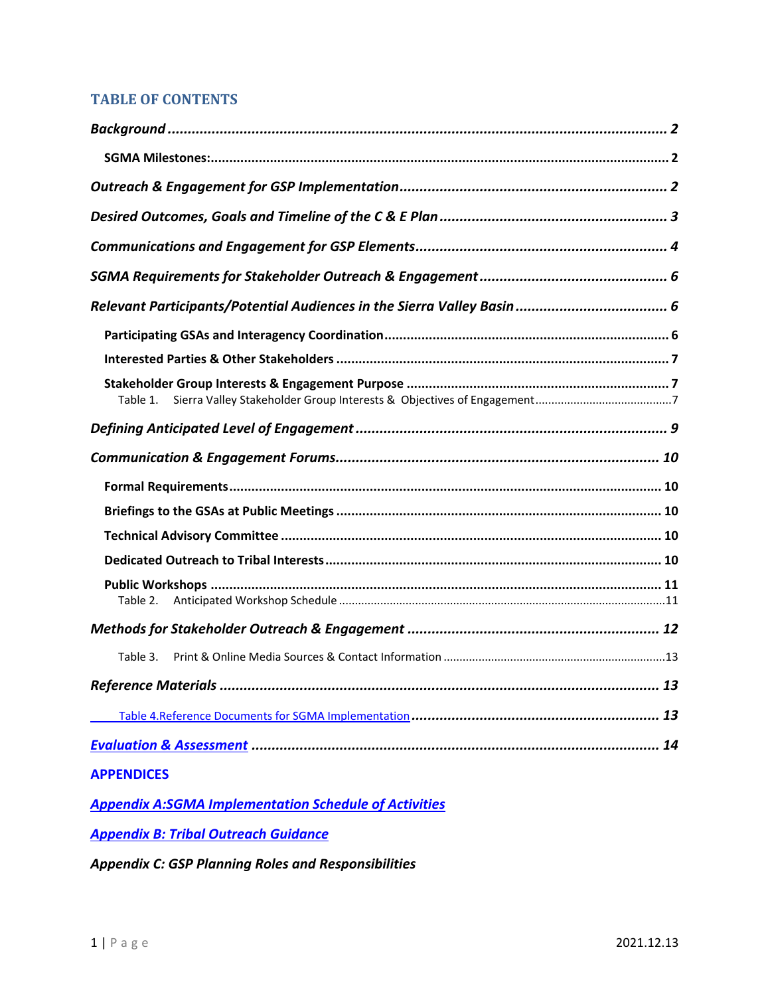# **TABLE OF CONTENTS**

| Table 1.          |
|-------------------|
|                   |
|                   |
|                   |
|                   |
|                   |
|                   |
|                   |
| Table 2.          |
|                   |
| Table 3.          |
|                   |
|                   |
|                   |
| <b>APPENDICES</b> |

*Appendix A:SGMA Implementation Schedule of Activities*

*Appendix B: Tribal Outreach Guidance*

*Appendix C: GSP Planning Roles and Responsibilities*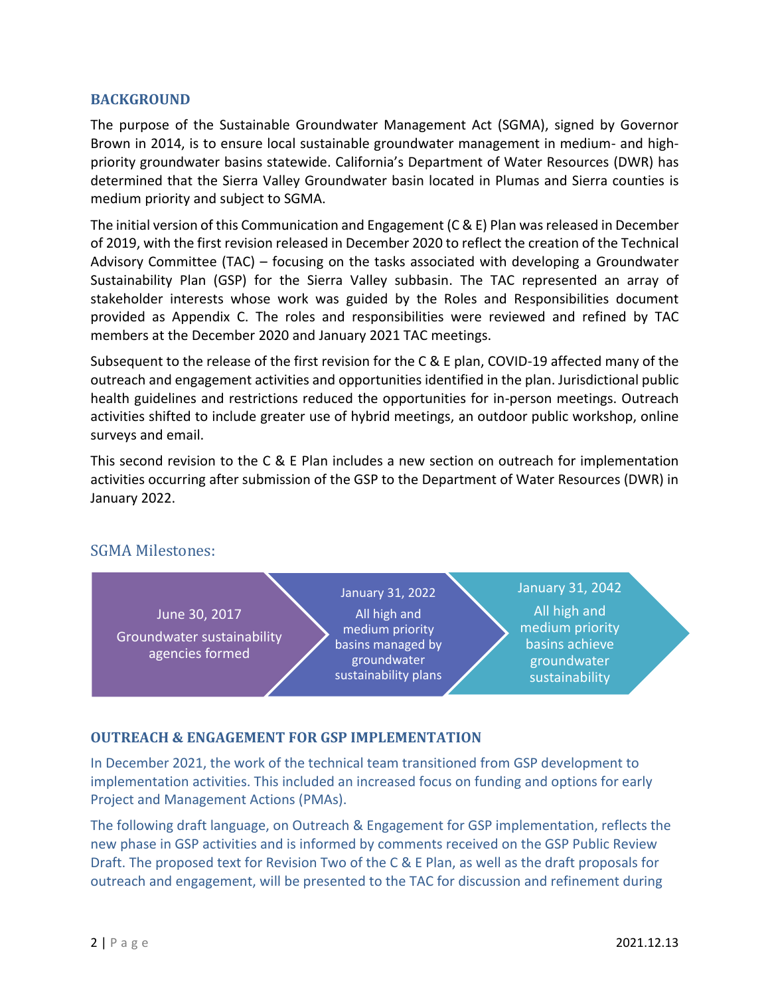#### <span id="page-3-0"></span>**BACKGROUND**

The purpose of the Sustainable Groundwater Management Act (SGMA), signed by Governor Brown in 2014, is to ensure local sustainable groundwater management in medium- and highpriority groundwater basins statewide. California's Department of Water Resources (DWR) has determined that the Sierra Valley Groundwater basin located in Plumas and Sierra counties is medium priority and subject to SGMA.

The initial version of this Communication and Engagement (C & E) Plan was released in December of 2019, with the first revision released in December 2020 to reflect the creation of the Technical Advisory Committee (TAC) – focusing on the tasks associated with developing a Groundwater Sustainability Plan (GSP) for the Sierra Valley subbasin. The TAC represented an array of stakeholder interests whose work was guided by the Roles and Responsibilities document provided as Appendix C. The roles and responsibilities were reviewed and refined by TAC members at the December 2020 and January 2021 TAC meetings.

Subsequent to the release of the first revision for the C & E plan, COVID-19 affected many of the outreach and engagement activities and opportunities identified in the plan. Jurisdictional public health guidelines and restrictions reduced the opportunities for in-person meetings. Outreach activities shifted to include greater use of hybrid meetings, an outdoor public workshop, online surveys and email.

This second revision to the C & E Plan includes a new section on outreach for implementation activities occurring after submission of the GSP to the Department of Water Resources (DWR) in January 2022.

# <span id="page-3-1"></span>SGMA Milestones:



# <span id="page-3-2"></span>**OUTREACH & ENGAGEMENT FOR GSP IMPLEMENTATION**

In December 2021, the work of the technical team transitioned from GSP development to implementation activities. This included an increased focus on funding and options for early Project and Management Actions (PMAs).

The following draft language, on Outreach & Engagement for GSP implementation, reflects the new phase in GSP activities and is informed by comments received on the GSP Public Review Draft. The proposed text for Revision Two of the C & E Plan, as well as the draft proposals for outreach and engagement, will be presented to the TAC for discussion and refinement during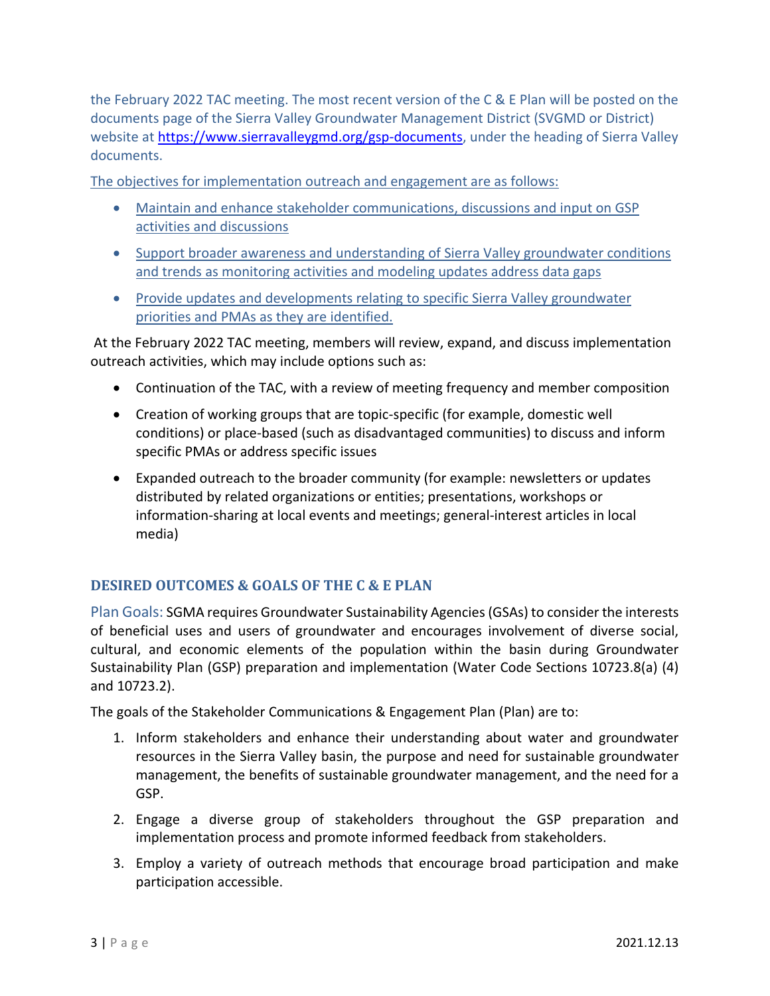the February 2022 TAC meeting. The most recent version of the C & E Plan will be posted on the documents page of the Sierra Valley Groundwater Management District (SVGMD or District) website at [https://www.sierravalleygmd.org/gsp-documents,](https://www.sierravalleygmd.org/gsp-documents) under the heading of Sierra Valley documents.

The objectives for implementation outreach and engagement are as follows:

- Maintain and enhance stakeholder communications, discussions and input on GSP activities and discussions
- Support broader awareness and understanding of Sierra Valley groundwater conditions and trends as monitoring activities and modeling updates address data gaps
- Provide updates and developments relating to specific Sierra Valley groundwater priorities and PMAs as they are identified.

At the February 2022 TAC meeting, members will review, expand, and discuss implementation outreach activities, which may include options such as:

- Continuation of the TAC, with a review of meeting frequency and member composition
- Creation of working groups that are topic-specific (for example, domestic well conditions) or place-based (such as disadvantaged communities) to discuss and inform specific PMAs or address specific issues
- Expanded outreach to the broader community (for example: newsletters or updates distributed by related organizations or entities; presentations, workshops or information-sharing at local events and meetings; general-interest articles in local media)

# <span id="page-4-0"></span>**DESIRED OUTCOMES & GOALS OF THE C & E PLAN**

Plan Goals: SGMA requires Groundwater Sustainability Agencies (GSAs) to consider the interests of beneficial uses and users of groundwater and encourages involvement of diverse social, cultural, and economic elements of the population within the basin during Groundwater Sustainability Plan (GSP) preparation and implementation (Water Code Sections 10723.8(a) (4) and 10723.2).

The goals of the Stakeholder Communications & Engagement Plan (Plan) are to:

- 1. Inform stakeholders and enhance their understanding about water and groundwater resources in the Sierra Valley basin, the purpose and need for sustainable groundwater management, the benefits of sustainable groundwater management, and the need for a GSP.
- 2. Engage a diverse group of stakeholders throughout the GSP preparation and implementation process and promote informed feedback from stakeholders.
- 3. Employ a variety of outreach methods that encourage broad participation and make participation accessible.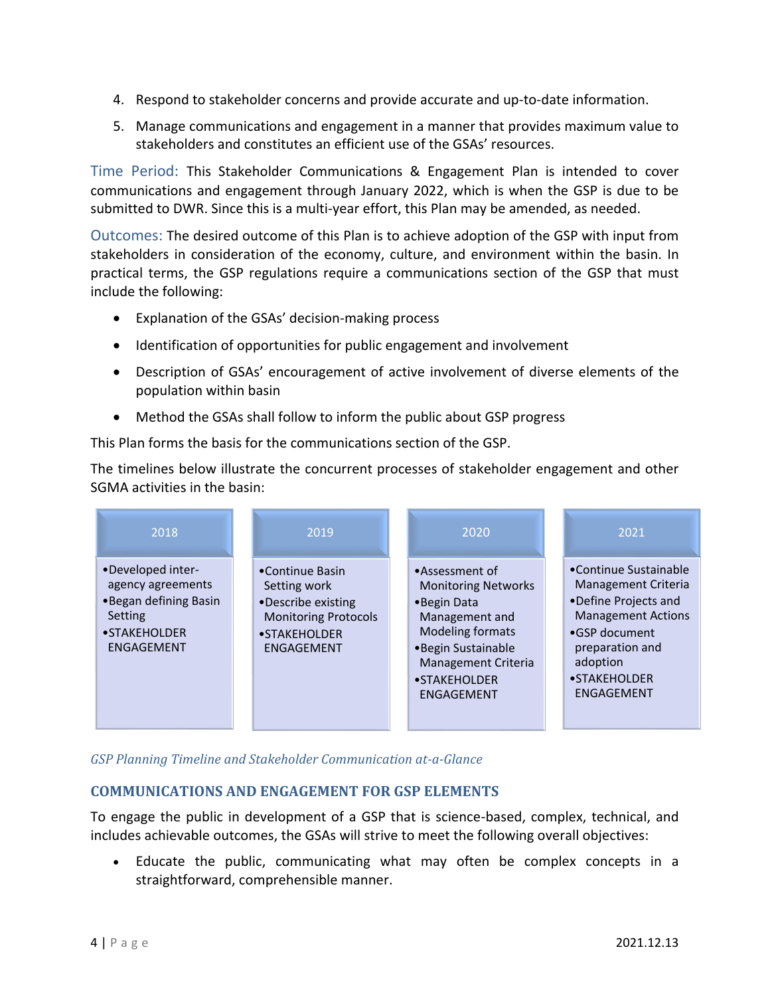- 4. Respond to stakeholder concerns and provide accurate and up-to-date information.
- 5. Manage communications and engagement in a manner that provides maximum value to stakeholders and constitutes an efficient use of the GSAs' resources.

Time Period: This Stakeholder Communications & Engagement Plan is intended to cover communications and engagement through January 2022, which is when the GSP is due to be submitted to DWR. Since this is a multi-year effort, this Plan may be amended, as needed.

Outcomes: The desired outcome of this Plan is to achieve adoption of the GSP with input from stakeholders in consideration of the economy, culture, and environment within the basin. In practical terms, the GSP regulations require a communications section of the GSP that must include the following:

- Explanation of the GSAs' decision-making process
- Identification of opportunities for public engagement and involvement
- Description of GSAs' encouragement of active involvement of diverse elements of the population within basin
- Method the GSAs shall follow to inform the public about GSP progress

This Plan forms the basis for the communications section of the GSP.

The timelines below illustrate the concurrent processes of stakeholder engagement and other SGMA activities in the basin:

| 2018                                                                                                              | 2019                                                                                                                       | 2020                                                                                                                                                                                               | 2021                                                                                                                                                                             |
|-------------------------------------------------------------------------------------------------------------------|----------------------------------------------------------------------------------------------------------------------------|----------------------------------------------------------------------------------------------------------------------------------------------------------------------------------------------------|----------------------------------------------------------------------------------------------------------------------------------------------------------------------------------|
| •Developed inter-<br>agency agreements<br>. Began defining Basin<br>Setting<br>• STAKEHOLDER<br><b>ENGAGEMENT</b> | •Continue Basin<br>Setting work<br>•Describe existing<br><b>Monitoring Protocols</b><br>• STAKEHOLDER<br><b>ENGAGEMENT</b> | •Assessment of<br><b>Monitoring Networks</b><br>•Begin Data<br>Management and<br><b>Modeling formats</b><br>•Begin Sustainable<br><b>Management Criteria</b><br>• STAKEHOLDER<br><b>ENGAGEMENT</b> | •Continue Sustainable<br>Management Criteria<br>•Define Projects and<br><b>Management Actions</b><br>•GSP document<br>preparation and<br>adoption<br>• STAKEHOLDER<br>ENGAGEMENT |

*GSP Planning Timeline and Stakeholder Communication at-a-Glance*

# <span id="page-5-0"></span>**COMMUNICATIONS AND ENGAGEMENT FOR GSP ELEMENTS**

To engage the public in development of a GSP that is science-based, complex, technical, and includes achievable outcomes, the GSAs will strive to meet the following overall objectives:

• Educate the public, communicating what may often be complex concepts in a straightforward, comprehensible manner.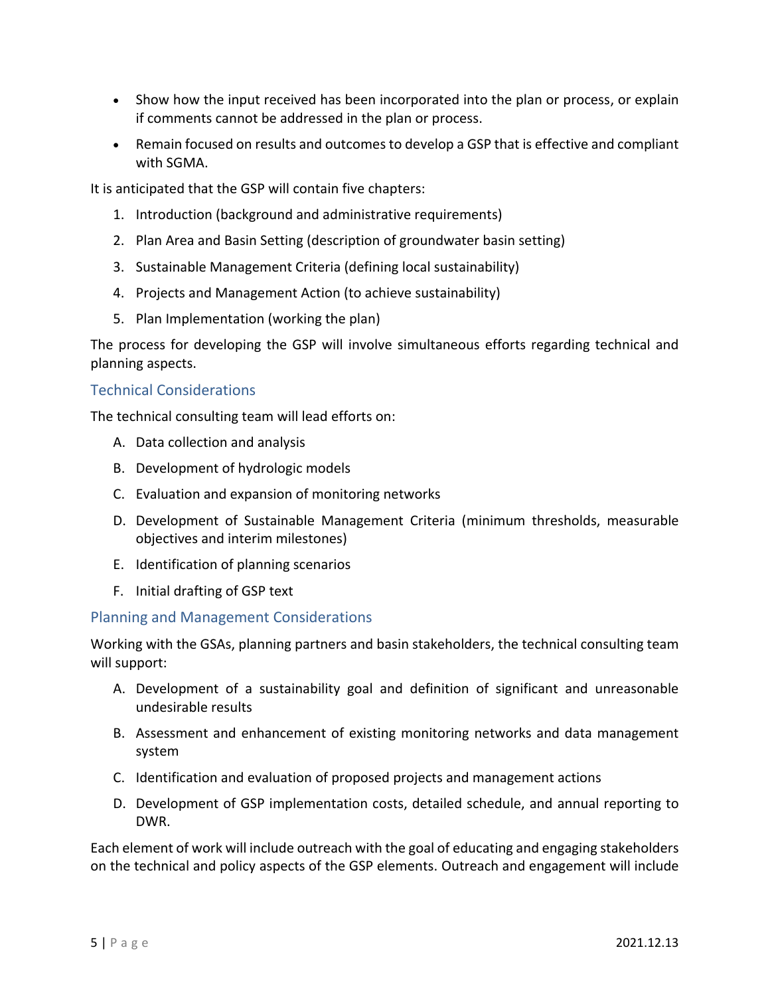- Show how the input received has been incorporated into the plan or process, or explain if comments cannot be addressed in the plan or process.
- Remain focused on results and outcomes to develop a GSP that is effective and compliant with SGMA.

It is anticipated that the GSP will contain five chapters:

- 1. Introduction (background and administrative requirements)
- 2. Plan Area and Basin Setting (description of groundwater basin setting)
- 3. Sustainable Management Criteria (defining local sustainability)
- 4. Projects and Management Action (to achieve sustainability)
- 5. Plan Implementation (working the plan)

The process for developing the GSP will involve simultaneous efforts regarding technical and planning aspects.

### Technical Considerations

The technical consulting team will lead efforts on:

- A. Data collection and analysis
- B. Development of hydrologic models
- C. Evaluation and expansion of monitoring networks
- D. Development of Sustainable Management Criteria (minimum thresholds, measurable objectives and interim milestones)
- E. Identification of planning scenarios
- F. Initial drafting of GSP text

#### Planning and Management Considerations

Working with the GSAs, planning partners and basin stakeholders, the technical consulting team will support:

- A. Development of a sustainability goal and definition of significant and unreasonable undesirable results
- B. Assessment and enhancement of existing monitoring networks and data management system
- C. Identification and evaluation of proposed projects and management actions
- D. Development of GSP implementation costs, detailed schedule, and annual reporting to DWR.

Each element of work will include outreach with the goal of educating and engaging stakeholders on the technical and policy aspects of the GSP elements. Outreach and engagement will include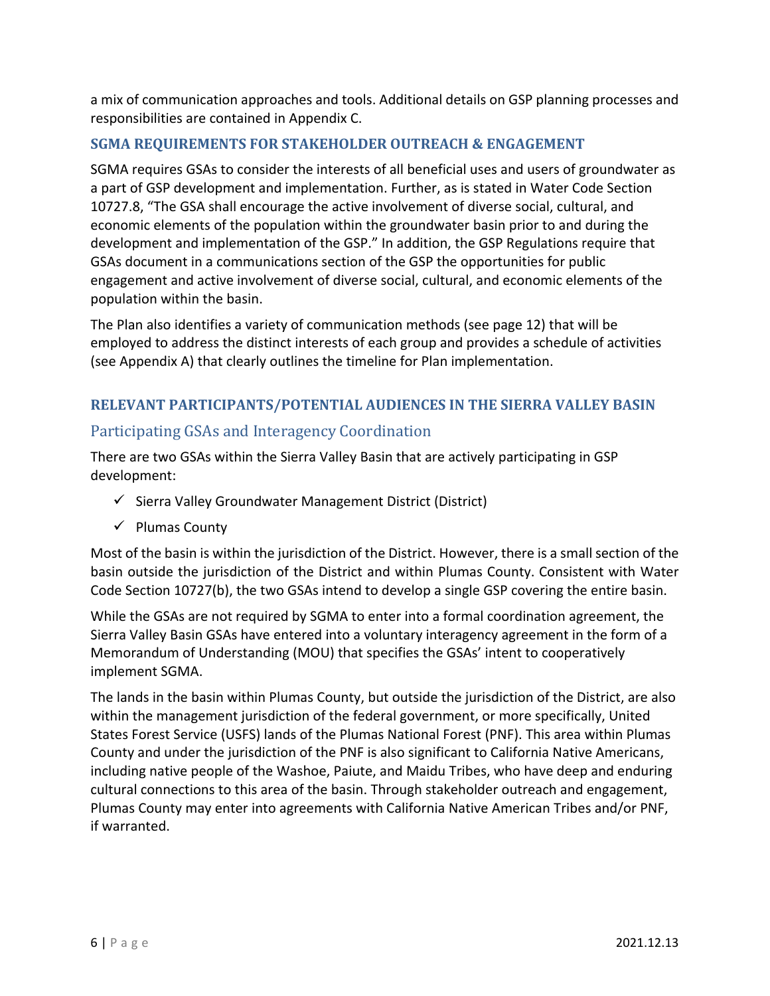a mix of communication approaches and tools. Additional details on GSP planning processes and responsibilities are contained in Appendix C.

# <span id="page-7-0"></span>**SGMA REQUIREMENTS FOR STAKEHOLDER OUTREACH & ENGAGEMENT**

SGMA requires GSAs to consider the interests of all beneficial uses and users of groundwater as a part of GSP development and implementation. Further, as is stated in Water Code Section 10727.8, "The GSA shall encourage the active involvement of diverse social, cultural, and economic elements of the population within the groundwater basin prior to and during the development and implementation of the GSP." In addition, the GSP Regulations require that GSAs document in a communications section of the GSP the opportunities for public engagement and active involvement of diverse social, cultural, and economic elements of the population within the basin.

The Plan also identifies a variety of communication methods (see page 12) that will be employed to address the distinct interests of each group and provides a schedule of activities (see Appendix A) that clearly outlines the timeline for Plan implementation.

# <span id="page-7-1"></span>**RELEVANT PARTICIPANTS/POTENTIAL AUDIENCES IN THE SIERRA VALLEY BASIN**

# <span id="page-7-2"></span>Participating GSAs and Interagency Coordination

There are two GSAs within the Sierra Valley Basin that are actively participating in GSP development:

- ✓ Sierra Valley Groundwater Management District (District)
- ✓ Plumas County

Most of the basin is within the jurisdiction of the District. However, there is a small section of the basin outside the jurisdiction of the District and within Plumas County. Consistent with Water Code Section 10727(b), the two GSAs intend to develop a single GSP covering the entire basin.

While the GSAs are not required by SGMA to enter into a formal coordination agreement, the Sierra Valley Basin GSAs have entered into a voluntary interagency agreement in the form of a Memorandum of Understanding (MOU) that specifies the GSAs' intent to cooperatively implement SGMA.

The lands in the basin within Plumas County, but outside the jurisdiction of the District, are also within the management jurisdiction of the federal government, or more specifically, United States Forest Service (USFS) lands of the Plumas National Forest (PNF). This area within Plumas County and under the jurisdiction of the PNF is also significant to California Native Americans, including native people of the Washoe, Paiute, and Maidu Tribes, who have deep and enduring cultural connections to this area of the basin. Through stakeholder outreach and engagement, Plumas County may enter into agreements with California Native American Tribes and/or PNF, if warranted.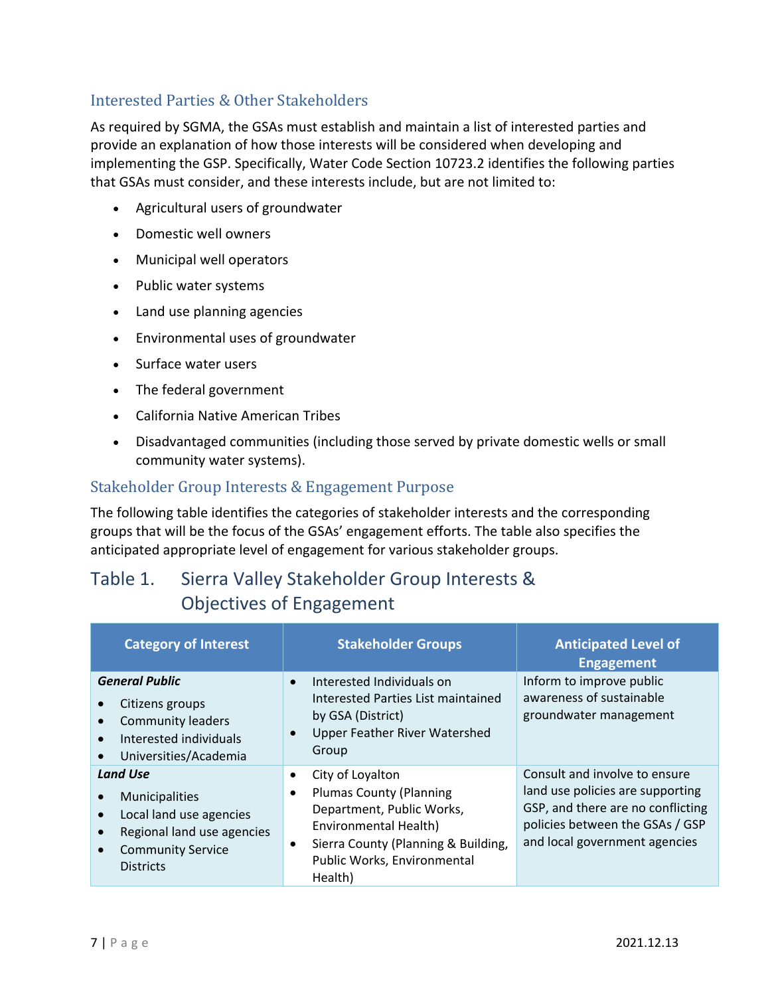# <span id="page-8-0"></span>Interested Parties & Other Stakeholders

As required by SGMA, the GSAs must establish and maintain a list of interested parties and provide an explanation of how those interests will be considered when developing and implementing the GSP. Specifically, Water Code Section 10723.2 identifies the following parties that GSAs must consider, and these interests include, but are not limited to:

- Agricultural users of groundwater
- Domestic well owners
- Municipal well operators
- Public water systems
- Land use planning agencies
- Environmental uses of groundwater
- Surface water users
- The federal government
- California Native American Tribes
- Disadvantaged communities (including those served by private domestic wells or small community water systems).

# <span id="page-8-1"></span>Stakeholder Group Interests & Engagement Purpose

The following table identifies the categories of stakeholder interests and the corresponding groups that will be the focus of the GSAs' engagement efforts. The table also specifies the anticipated appropriate level of engagement for various stakeholder groups.

# <span id="page-8-2"></span>Table 1. Sierra Valley Stakeholder Group Interests & Objectives of Engagement

| <b>Category of Interest</b>                                                                                                                | <b>Stakeholder Groups</b>                                                                                                                                                                                           | <b>Anticipated Level of</b><br><b>Engagement</b>                                                                                                                           |
|--------------------------------------------------------------------------------------------------------------------------------------------|---------------------------------------------------------------------------------------------------------------------------------------------------------------------------------------------------------------------|----------------------------------------------------------------------------------------------------------------------------------------------------------------------------|
| <b>General Public</b><br>Citizens groups<br><b>Community leaders</b><br>Interested individuals<br>$\bullet$<br>Universities/Academia       | Interested Individuals on<br>Interested Parties List maintained<br>by GSA (District)<br><b>Upper Feather River Watershed</b><br>Group                                                                               | Inform to improve public<br>awareness of sustainable<br>groundwater management                                                                                             |
| <b>Land Use</b><br>Municipalities<br>Local land use agencies<br>Regional land use agencies<br><b>Community Service</b><br><b>Districts</b> | City of Loyalton<br><b>Plumas County (Planning</b><br>$\bullet$<br>Department, Public Works,<br>Environmental Health)<br>Sierra County (Planning & Building,<br>$\bullet$<br>Public Works, Environmental<br>Health) | Consult and involve to ensure<br>land use policies are supporting<br>GSP, and there are no conflicting<br>policies between the GSAs / GSP<br>and local government agencies |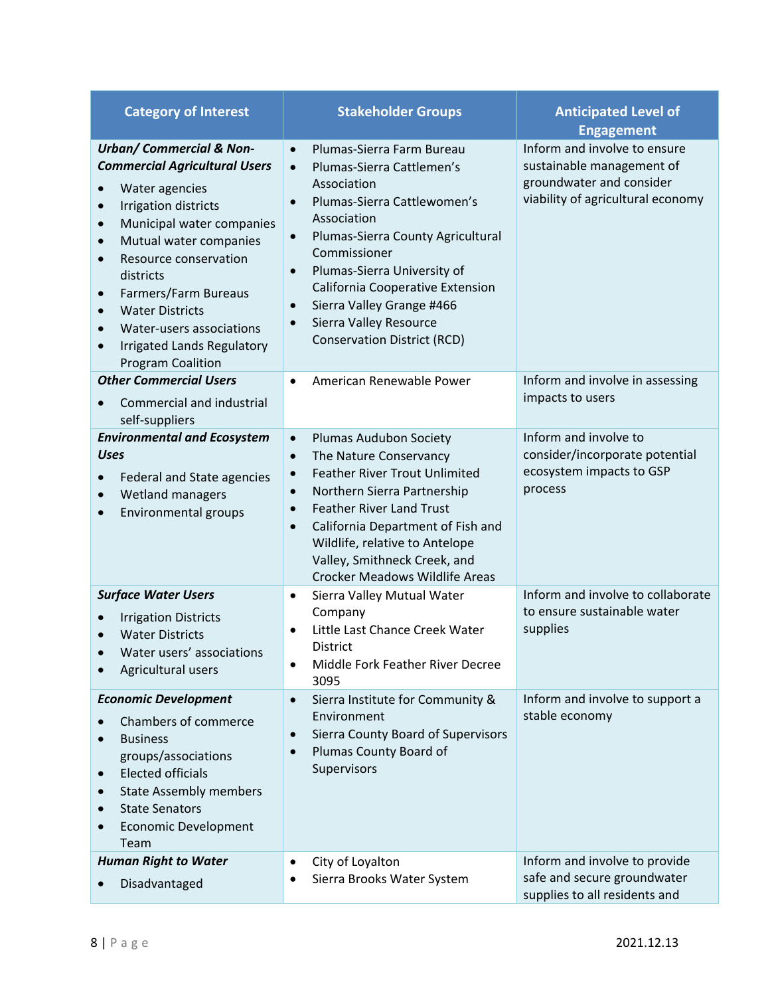| <b>Category of Interest</b>                                                                                                                                                                                                                                                                                                                                                                                                                                               | <b>Stakeholder Groups</b>                                                                                                                                                                                                                                                                                                                                                                                                           | <b>Anticipated Level of</b><br><b>Engagement</b>                                                                           |  |
|---------------------------------------------------------------------------------------------------------------------------------------------------------------------------------------------------------------------------------------------------------------------------------------------------------------------------------------------------------------------------------------------------------------------------------------------------------------------------|-------------------------------------------------------------------------------------------------------------------------------------------------------------------------------------------------------------------------------------------------------------------------------------------------------------------------------------------------------------------------------------------------------------------------------------|----------------------------------------------------------------------------------------------------------------------------|--|
| <b>Urban/ Commercial &amp; Non-</b><br><b>Commercial Agricultural Users</b><br>Water agencies<br>Irrigation districts<br>$\bullet$<br>Municipal water companies<br>$\bullet$<br>Mutual water companies<br>$\bullet$<br>Resource conservation<br>$\bullet$<br>districts<br>Farmers/Farm Bureaus<br>$\bullet$<br><b>Water Districts</b><br>$\bullet$<br>Water-users associations<br>$\bullet$<br><b>Irrigated Lands Regulatory</b><br>$\bullet$<br><b>Program Coalition</b> | Plumas-Sierra Farm Bureau<br>$\bullet$<br>Plumas-Sierra Cattlemen's<br>$\bullet$<br>Association<br>Plumas-Sierra Cattlewomen's<br>$\bullet$<br>Association<br>Plumas-Sierra County Agricultural<br>$\bullet$<br>Commissioner<br>Plumas-Sierra University of<br>$\bullet$<br>California Cooperative Extension<br>Sierra Valley Grange #466<br>$\bullet$<br>Sierra Valley Resource<br>$\bullet$<br><b>Conservation District (RCD)</b> | Inform and involve to ensure<br>sustainable management of<br>groundwater and consider<br>viability of agricultural economy |  |
| <b>Other Commercial Users</b><br>Commercial and industrial<br>self-suppliers                                                                                                                                                                                                                                                                                                                                                                                              | American Renewable Power<br>$\bullet$                                                                                                                                                                                                                                                                                                                                                                                               | Inform and involve in assessing<br>impacts to users                                                                        |  |
| <b>Environmental and Ecosystem</b><br><b>Uses</b><br>Federal and State agencies<br>Wetland managers<br>$\bullet$<br>Environmental groups<br>$\bullet$                                                                                                                                                                                                                                                                                                                     | Plumas Audubon Society<br>$\bullet$<br>The Nature Conservancy<br>$\bullet$<br><b>Feather River Trout Unlimited</b><br>$\bullet$<br>Northern Sierra Partnership<br>$\bullet$<br><b>Feather River Land Trust</b><br>$\bullet$<br>California Department of Fish and<br>$\bullet$<br>Wildlife, relative to Antelope<br>Valley, Smithneck Creek, and<br><b>Crocker Meadows Wildlife Areas</b>                                            | Inform and involve to<br>consider/incorporate potential<br>ecosystem impacts to GSP<br>process                             |  |
| <b>Surface Water Users</b><br><b>Irrigation Districts</b><br>$\bullet$<br><b>Water Districts</b><br>Water users' associations<br>Agricultural users                                                                                                                                                                                                                                                                                                                       | Sierra Valley Mutual Water<br>$\bullet$<br>Company<br>Little Last Chance Creek Water<br>$\bullet$<br>District<br>Middle Fork Feather River Decree<br>٠<br>3095                                                                                                                                                                                                                                                                      | Inform and involve to collaborate<br>to ensure sustainable water<br>supplies                                               |  |
| <b>Economic Development</b><br>Chambers of commerce<br><b>Business</b><br>groups/associations<br><b>Elected officials</b><br>$\bullet$<br><b>State Assembly members</b><br>$\bullet$<br><b>State Senators</b><br>$\bullet$<br><b>Economic Development</b><br>$\bullet$<br>Team                                                                                                                                                                                            | Sierra Institute for Community &<br>$\bullet$<br>Environment<br>Sierra County Board of Supervisors<br>$\bullet$<br>Plumas County Board of<br>$\bullet$<br>Supervisors                                                                                                                                                                                                                                                               | Inform and involve to support a<br>stable economy                                                                          |  |
| <b>Human Right to Water</b><br>Disadvantaged                                                                                                                                                                                                                                                                                                                                                                                                                              | City of Loyalton<br>$\bullet$<br>Sierra Brooks Water System                                                                                                                                                                                                                                                                                                                                                                         | Inform and involve to provide<br>safe and secure groundwater<br>supplies to all residents and                              |  |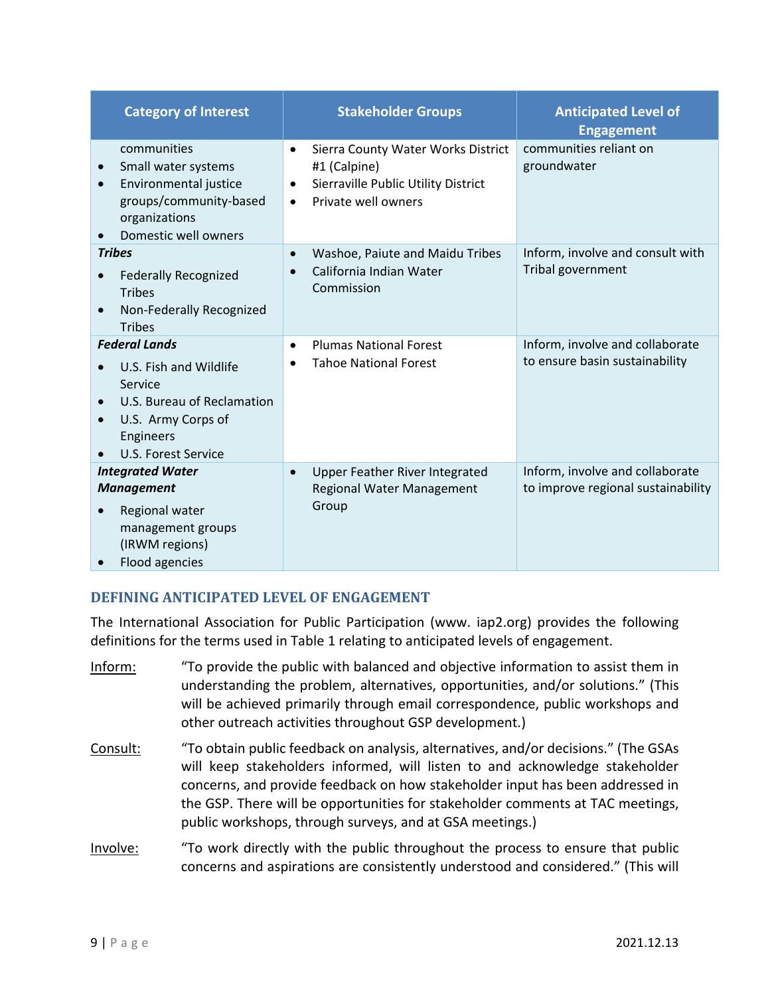| <b>Category of Interest</b>                                                                                                                              | <b>Stakeholder Groups</b>                                                                                                                               | <b>Anticipated Level of</b><br><b>Engagement</b>                      |
|----------------------------------------------------------------------------------------------------------------------------------------------------------|---------------------------------------------------------------------------------------------------------------------------------------------------------|-----------------------------------------------------------------------|
| communities<br>Small water systems<br>$\bullet$<br>Environmental justice<br>$\bullet$<br>groups/community-based<br>organizations<br>Domestic well owners | Sierra County Water Works District<br>$\bullet$<br>#1 (Calpine)<br>Sierraville Public Utility District<br>$\bullet$<br>Private well owners<br>$\bullet$ | communities reliant on<br>groundwater                                 |
| <b>Tribes</b><br><b>Federally Recognized</b><br><b>Tribes</b><br>Non-Federally Recognized<br><b>Tribes</b>                                               | Washoe, Paiute and Maidu Tribes<br>$\bullet$<br>California Indian Water<br>$\bullet$<br>Commission                                                      | Inform, involve and consult with<br>Tribal government                 |
| <b>Federal Lands</b><br>U.S. Fish and Wildlife<br>Service<br>U.S. Bureau of Reclamation<br>U.S. Army Corps of<br><b>Engineers</b><br>U.S. Forest Service | <b>Plumas National Forest</b><br>$\bullet$<br><b>Tahoe National Forest</b>                                                                              | Inform, involve and collaborate<br>to ensure basin sustainability     |
| <b>Integrated Water</b><br><b>Management</b><br>Regional water<br>$\bullet$<br>management groups<br>(IRWM regions)<br>Flood agencies                     | Upper Feather River Integrated<br>$\bullet$<br>Regional Water Management<br>Group                                                                       | Inform, involve and collaborate<br>to improve regional sustainability |

# <span id="page-10-0"></span>**DEFINING ANTICIPATED LEVEL OF ENGAGEMENT**

The International Association for Public Participation (www. iap2.org) provides the following definitions for the terms used in Table 1 relating to anticipated levels of engagement.

- Inform: "To provide the public with balanced and objective information to assist them in understanding the problem, alternatives, opportunities, and/or solutions." (This will be achieved primarily through email correspondence, public workshops and other outreach activities throughout GSP development.)
- Consult: "To obtain public feedback on analysis, alternatives, and/or decisions." (The GSAs will keep stakeholders informed, will listen to and acknowledge stakeholder concerns, and provide feedback on how stakeholder input has been addressed in the GSP. There will be opportunities for stakeholder comments at TAC meetings, public workshops, through surveys, and at GSA meetings.)
- Involve: "To work directly with the public throughout the process to ensure that public concerns and aspirations are consistently understood and considered." (This will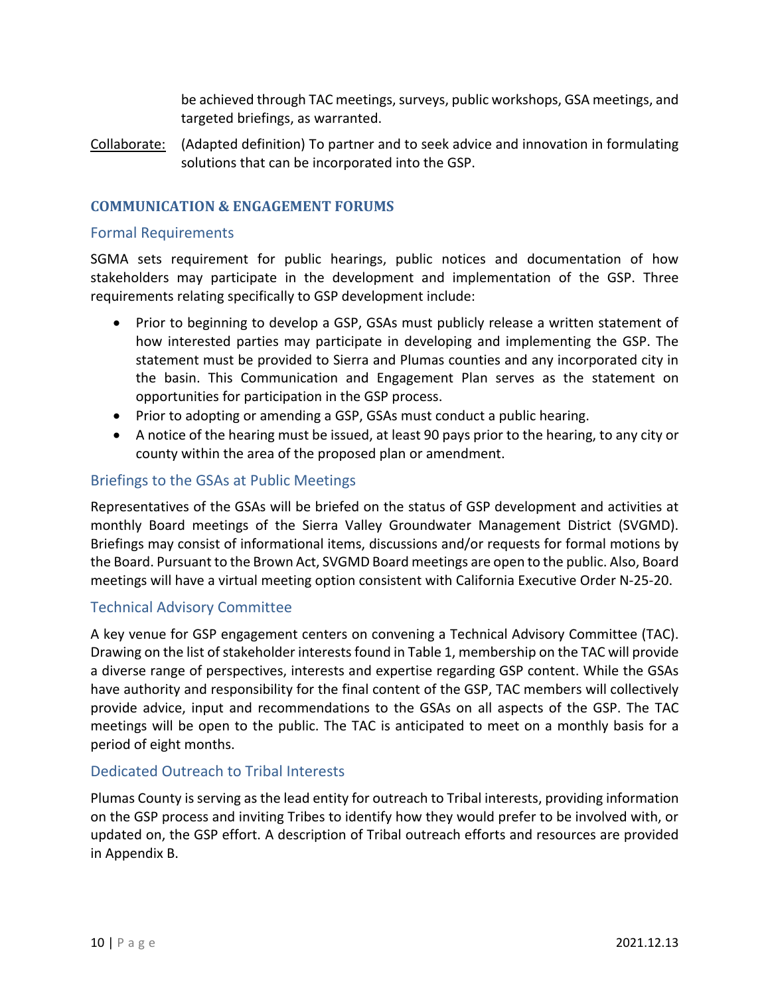be achieved through TAC meetings, surveys, public workshops, GSA meetings, and targeted briefings, as warranted.

Collaborate: (Adapted definition) To partner and to seek advice and innovation in formulating solutions that can be incorporated into the GSP.

#### <span id="page-11-0"></span>**COMMUNICATION & ENGAGEMENT FORUMS**

#### <span id="page-11-1"></span>Formal Requirements

SGMA sets requirement for public hearings, public notices and documentation of how stakeholders may participate in the development and implementation of the GSP. Three requirements relating specifically to GSP development include:

- Prior to beginning to develop a GSP, GSAs must publicly release a written statement of how interested parties may participate in developing and implementing the GSP. The statement must be provided to Sierra and Plumas counties and any incorporated city in the basin. This Communication and Engagement Plan serves as the statement on opportunities for participation in the GSP process.
- Prior to adopting or amending a GSP, GSAs must conduct a public hearing.
- A notice of the hearing must be issued, at least 90 pays prior to the hearing, to any city or county within the area of the proposed plan or amendment.

#### <span id="page-11-2"></span>Briefings to the GSAs at Public Meetings

Representatives of the GSAs will be briefed on the status of GSP development and activities at monthly Board meetings of the Sierra Valley Groundwater Management District (SVGMD). Briefings may consist of informational items, discussions and/or requests for formal motions by the Board. Pursuant to the Brown Act, SVGMD Board meetings are open to the public. Also, Board meetings will have a virtual meeting option consistent with California Executive Order N-25-20.

#### <span id="page-11-3"></span>Technical Advisory Committee

A key venue for GSP engagement centers on convening a Technical Advisory Committee (TAC). Drawing on the list of stakeholder interests found in Table 1, membership on the TAC will provide a diverse range of perspectives, interests and expertise regarding GSP content. While the GSAs have authority and responsibility for the final content of the GSP, TAC members will collectively provide advice, input and recommendations to the GSAs on all aspects of the GSP. The TAC meetings will be open to the public. The TAC is anticipated to meet on a monthly basis for a period of eight months.

#### <span id="page-11-4"></span>Dedicated Outreach to Tribal Interests

Plumas County is serving as the lead entity for outreach to Tribal interests, providing information on the GSP process and inviting Tribes to identify how they would prefer to be involved with, or updated on, the GSP effort. A description of Tribal outreach efforts and resources are provided in Appendix B.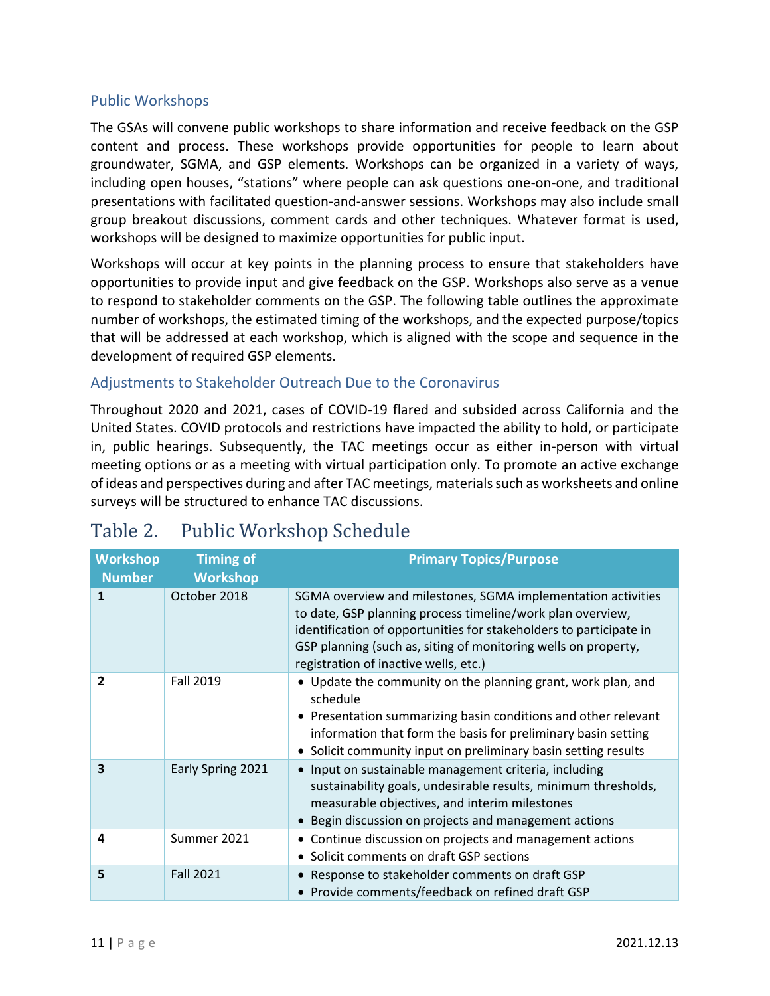### <span id="page-12-0"></span>Public Workshops

The GSAs will convene public workshops to share information and receive feedback on the GSP content and process. These workshops provide opportunities for people to learn about groundwater, SGMA, and GSP elements. Workshops can be organized in a variety of ways, including open houses, "stations" where people can ask questions one-on-one, and traditional presentations with facilitated question-and-answer sessions. Workshops may also include small group breakout discussions, comment cards and other techniques. Whatever format is used, workshops will be designed to maximize opportunities for public input.

Workshops will occur at key points in the planning process to ensure that stakeholders have opportunities to provide input and give feedback on the GSP. Workshops also serve as a venue to respond to stakeholder comments on the GSP. The following table outlines the approximate number of workshops, the estimated timing of the workshops, and the expected purpose/topics that will be addressed at each workshop, which is aligned with the scope and sequence in the development of required GSP elements.

# Adjustments to Stakeholder Outreach Due to the Coronavirus

Throughout 2020 and 2021, cases of COVID-19 flared and subsided across California and the United States. COVID protocols and restrictions have impacted the ability to hold, or participate in, public hearings. Subsequently, the TAC meetings occur as either in-person with virtual meeting options or as a meeting with virtual participation only. To promote an active exchange of ideas and perspectives during and after TAC meetings, materials such as worksheets and online surveys will be structured to enhance TAC discussions.

| <b>Workshop</b><br><b>Number</b> | <b>Timing of</b><br><b>Workshop</b> | <b>Primary Topics/Purpose</b>                                                                                                                                                                                                                                                                               |
|----------------------------------|-------------------------------------|-------------------------------------------------------------------------------------------------------------------------------------------------------------------------------------------------------------------------------------------------------------------------------------------------------------|
| $\mathbf{1}$                     | October 2018                        | SGMA overview and milestones, SGMA implementation activities<br>to date, GSP planning process timeline/work plan overview,<br>identification of opportunities for stakeholders to participate in<br>GSP planning (such as, siting of monitoring wells on property,<br>registration of inactive wells, etc.) |
| $\overline{2}$                   | <b>Fall 2019</b>                    | • Update the community on the planning grant, work plan, and<br>schedule<br>• Presentation summarizing basin conditions and other relevant<br>information that form the basis for preliminary basin setting<br>• Solicit community input on preliminary basin setting results                               |
| $\overline{\mathbf{3}}$          | Early Spring 2021                   | • Input on sustainable management criteria, including<br>sustainability goals, undesirable results, minimum thresholds,<br>measurable objectives, and interim milestones<br>• Begin discussion on projects and management actions                                                                           |
| 4                                | Summer 2021                         | • Continue discussion on projects and management actions<br>• Solicit comments on draft GSP sections                                                                                                                                                                                                        |
| 5                                | <b>Fall 2021</b>                    | • Response to stakeholder comments on draft GSP<br>• Provide comments/feedback on refined draft GSP                                                                                                                                                                                                         |

# <span id="page-12-1"></span>Table 2. Public Workshop Schedule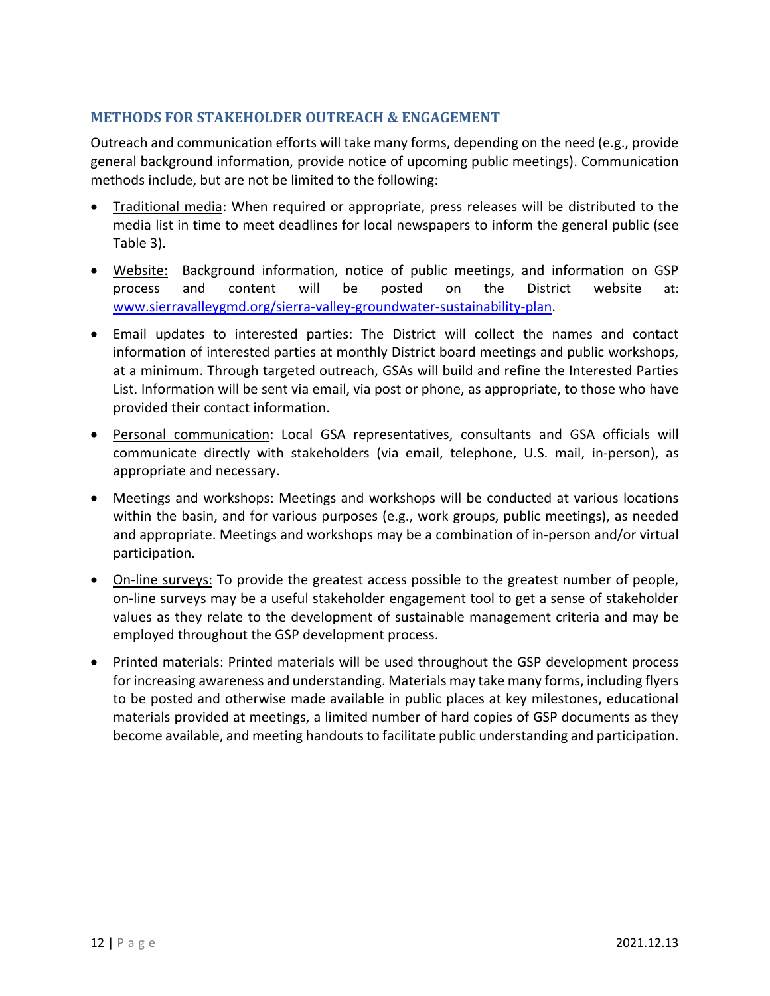# <span id="page-13-0"></span>**METHODS FOR STAKEHOLDER OUTREACH & ENGAGEMENT**

Outreach and communication efforts will take many forms, depending on the need (e.g., provide general background information, provide notice of upcoming public meetings). Communication methods include, but are not be limited to the following:

- Traditional media: When required or appropriate, press releases will be distributed to the media list in time to meet deadlines for local newspapers to inform the general public (see Table 3).
- Website: Background information, notice of public meetings, and information on GSP process and content will be posted on the District website at: [www.sierravalleygmd.org/sierra-valley-groundwater-sustainability-plan.](http://www.sierravalleygmd.org/sierra-valley-groundwater-sustainability-plan)
- Email updates to interested parties: The District will collect the names and contact information of interested parties at monthly District board meetings and public workshops, at a minimum. Through targeted outreach, GSAs will build and refine the Interested Parties List. Information will be sent via email, via post or phone, as appropriate, to those who have provided their contact information.
- Personal communication: Local GSA representatives, consultants and GSA officials will communicate directly with stakeholders (via email, telephone, U.S. mail, in-person), as appropriate and necessary.
- Meetings and workshops: Meetings and workshops will be conducted at various locations within the basin, and for various purposes (e.g., work groups, public meetings), as needed and appropriate. Meetings and workshops may be a combination of in-person and/or virtual participation.
- On-line surveys: To provide the greatest access possible to the greatest number of people, on-line surveys may be a useful stakeholder engagement tool to get a sense of stakeholder values as they relate to the development of sustainable management criteria and may be employed throughout the GSP development process.
- Printed materials: Printed materials will be used throughout the GSP development process for increasing awareness and understanding. Materials may take many forms, including flyers to be posted and otherwise made available in public places at key milestones, educational materials provided at meetings, a limited number of hard copies of GSP documents as they become available, and meeting handouts to facilitate public understanding and participation.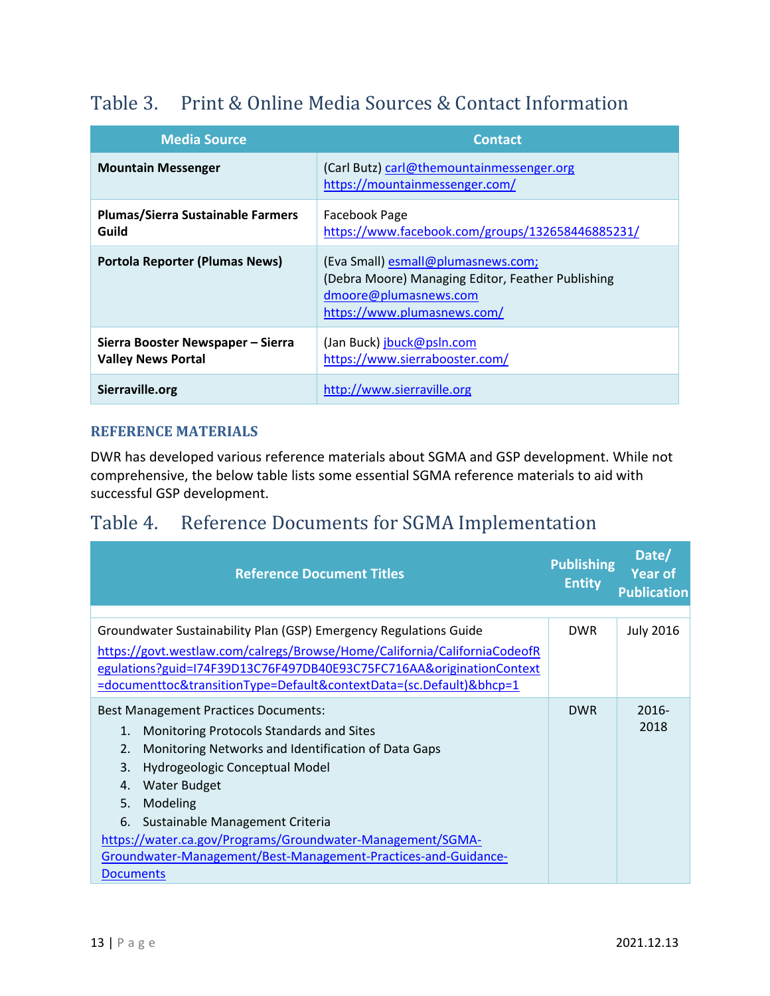# <span id="page-14-0"></span>Table 3. Print & Online Media Sources & Contact Information

| <b>Media Source</b>                                            | <b>Contact</b>                                                                                                                                  |
|----------------------------------------------------------------|-------------------------------------------------------------------------------------------------------------------------------------------------|
| <b>Mountain Messenger</b>                                      | (Carl Butz) carl@themountainmessenger.org<br>https://mountainmessenger.com/                                                                     |
| <b>Plumas/Sierra Sustainable Farmers</b><br>Guild              | Facebook Page<br>https://www.facebook.com/groups/132658446885231/                                                                               |
| <b>Portola Reporter (Plumas News)</b>                          | (Eva Small) esmall@plumasnews.com;<br>(Debra Moore) Managing Editor, Feather Publishing<br>dmoore@plumasnews.com<br>https://www.plumasnews.com/ |
| Sierra Booster Newspaper - Sierra<br><b>Valley News Portal</b> | (Jan Buck) jbuck@psln.com<br>https://www.sierrabooster.com/                                                                                     |
| Sierraville.org                                                | http://www.sierraville.org                                                                                                                      |

# <span id="page-14-1"></span>**REFERENCE MATERIALS**

DWR has developed various reference materials about SGMA and GSP development. While not comprehensive, the below table lists some essential SGMA reference materials to aid with successful GSP development.

# Table 4. Reference Documents for SGMA Implementation

| <b>Reference Document Titles</b>                                                                                                                                                                                                                                                                                                                                                                                                               | <b>Publishing</b><br><b>Entity</b> | Date/<br><b>Year of</b><br><b>Publication</b> |
|------------------------------------------------------------------------------------------------------------------------------------------------------------------------------------------------------------------------------------------------------------------------------------------------------------------------------------------------------------------------------------------------------------------------------------------------|------------------------------------|-----------------------------------------------|
| Groundwater Sustainability Plan (GSP) Emergency Regulations Guide<br>https://govt.westlaw.com/calregs/Browse/Home/California/CaliforniaCodeofR<br>egulations?guid=I74F39D13C76F497DB40E93C75FC716AA&originationContext<br>=documenttoc&transitionType=Default&contextData=(sc.Default)&bhcp=1                                                                                                                                                  | <b>DWR</b>                         | <b>July 2016</b>                              |
| <b>Best Management Practices Documents:</b><br>Monitoring Protocols Standards and Sites<br>1.<br>2.<br>Monitoring Networks and Identification of Data Gaps<br>3.<br>Hydrogeologic Conceptual Model<br><b>Water Budget</b><br>4.<br>5.<br>Modeling<br>6.<br>Sustainable Management Criteria<br>https://water.ca.gov/Programs/Groundwater-Management/SGMA-<br>Groundwater-Management/Best-Management-Practices-and-Guidance-<br><b>Documents</b> | <b>DWR</b>                         | $2016 -$<br>2018                              |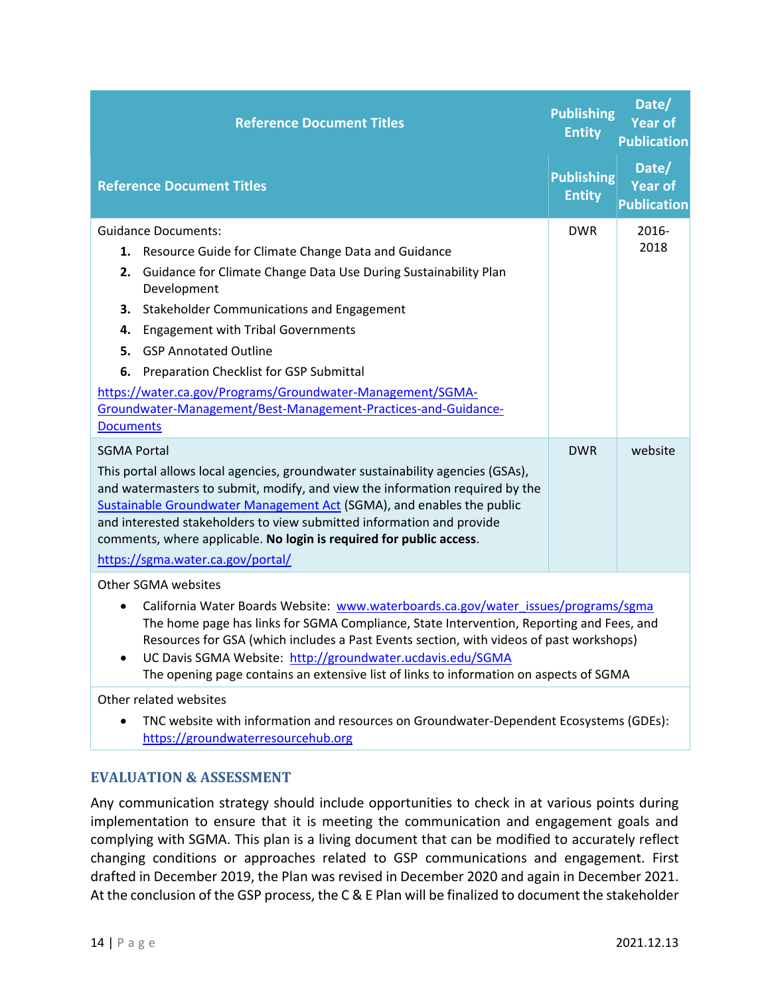| <b>Reference Document Titles</b>                                                                                                                                                                                                                                                                                                                                                                                                  | <b>Publishing</b><br><b>Entity</b> | Date/<br><b>Year of</b><br><b>Publication</b> |
|-----------------------------------------------------------------------------------------------------------------------------------------------------------------------------------------------------------------------------------------------------------------------------------------------------------------------------------------------------------------------------------------------------------------------------------|------------------------------------|-----------------------------------------------|
| <b>Reference Document Titles</b>                                                                                                                                                                                                                                                                                                                                                                                                  | <b>Publishing</b><br><b>Entity</b> | Date/<br>Year of<br><b>Publication</b>        |
| <b>Guidance Documents:</b>                                                                                                                                                                                                                                                                                                                                                                                                        | <b>DWR</b>                         | 2016-                                         |
| 1. Resource Guide for Climate Change Data and Guidance                                                                                                                                                                                                                                                                                                                                                                            |                                    | 2018                                          |
| Guidance for Climate Change Data Use During Sustainability Plan<br>2.<br>Development                                                                                                                                                                                                                                                                                                                                              |                                    |                                               |
| <b>Stakeholder Communications and Engagement</b><br>З.                                                                                                                                                                                                                                                                                                                                                                            |                                    |                                               |
| <b>Engagement with Tribal Governments</b><br>4.                                                                                                                                                                                                                                                                                                                                                                                   |                                    |                                               |
| <b>GSP Annotated Outline</b><br>5.                                                                                                                                                                                                                                                                                                                                                                                                |                                    |                                               |
| Preparation Checklist for GSP Submittal<br>6.                                                                                                                                                                                                                                                                                                                                                                                     |                                    |                                               |
| https://water.ca.gov/Programs/Groundwater-Management/SGMA-                                                                                                                                                                                                                                                                                                                                                                        |                                    |                                               |
| Groundwater-Management/Best-Management-Practices-and-Guidance-                                                                                                                                                                                                                                                                                                                                                                    |                                    |                                               |
| <b>Documents</b>                                                                                                                                                                                                                                                                                                                                                                                                                  |                                    |                                               |
| <b>SGMA Portal</b><br>This portal allows local agencies, groundwater sustainability agencies (GSAs),<br>and watermasters to submit, modify, and view the information required by the<br>Sustainable Groundwater Management Act (SGMA), and enables the public<br>and interested stakeholders to view submitted information and provide<br>comments, where applicable. No login is required for public access.                     | <b>DWR</b>                         | website                                       |
| https://sgma.water.ca.gov/portal/                                                                                                                                                                                                                                                                                                                                                                                                 |                                    |                                               |
| Other SGMA websites                                                                                                                                                                                                                                                                                                                                                                                                               |                                    |                                               |
| California Water Boards Website: www.waterboards.ca.gov/water issues/programs/sgma<br>The home page has links for SGMA Compliance, State Intervention, Reporting and Fees, and<br>Resources for GSA (which includes a Past Events section, with videos of past workshops)<br>UC Davis SGMA Website: http://groundwater.ucdavis.edu/SGMA<br>The opening page contains an extensive list of links to information on aspects of SGMA |                                    |                                               |
| Other related websites                                                                                                                                                                                                                                                                                                                                                                                                            |                                    |                                               |
| TNC website with information and resources on Groundwater-Dependent Ecosystems (GDEs):<br>https://groundwaterresourcehub.org                                                                                                                                                                                                                                                                                                      |                                    |                                               |

# **EVALUATION & ASSESSMENT**

Any communication strategy should include opportunities to check in at various points during implementation to ensure that it is meeting the communication and engagement goals and complying with SGMA. This plan is a living document that can be modified to accurately reflect changing conditions or approaches related to GSP communications and engagement. First drafted in December 2019, the Plan was revised in December 2020 and again in December 2021. At the conclusion of the GSP process, the C & E Plan will be finalized to document the stakeholder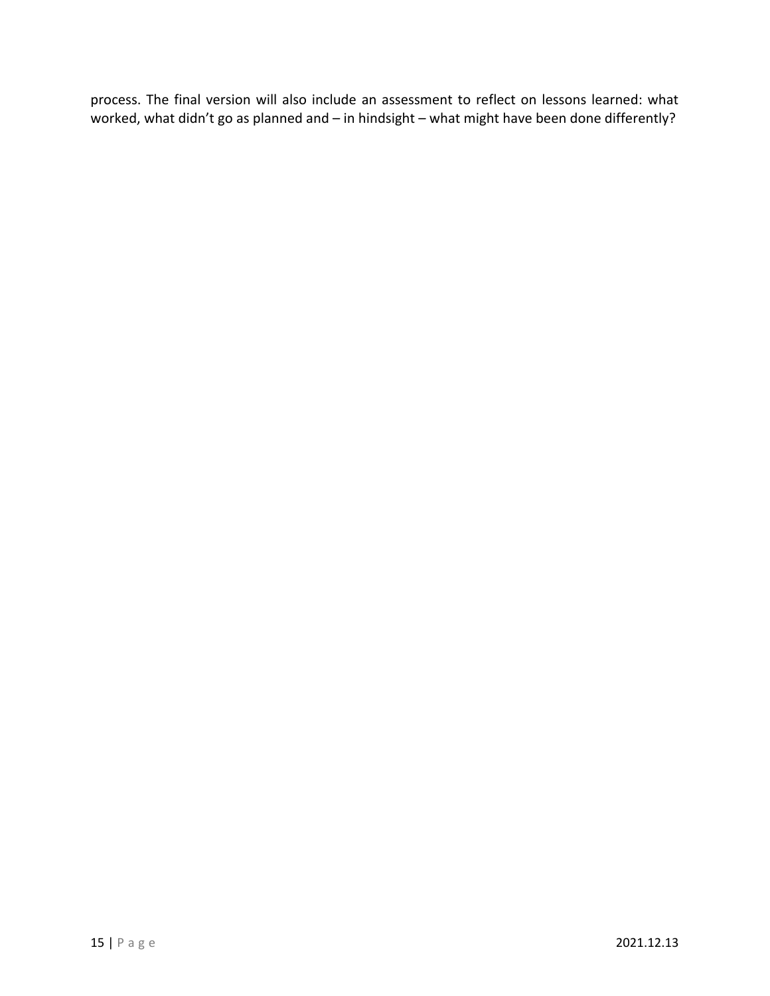process. The final version will also include an assessment to reflect on lessons learned: what worked, what didn't go as planned and – in hindsight – what might have been done differently?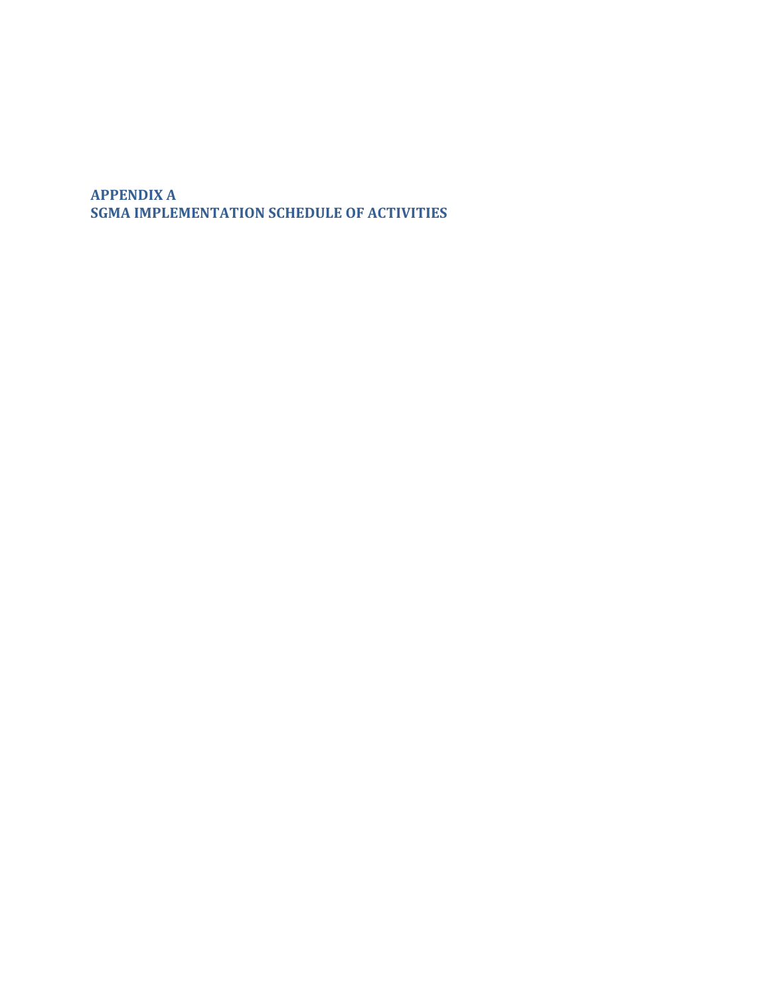**APPENDIX A SGMA IMPLEMENTATION SCHEDULE OF ACTIVITIES**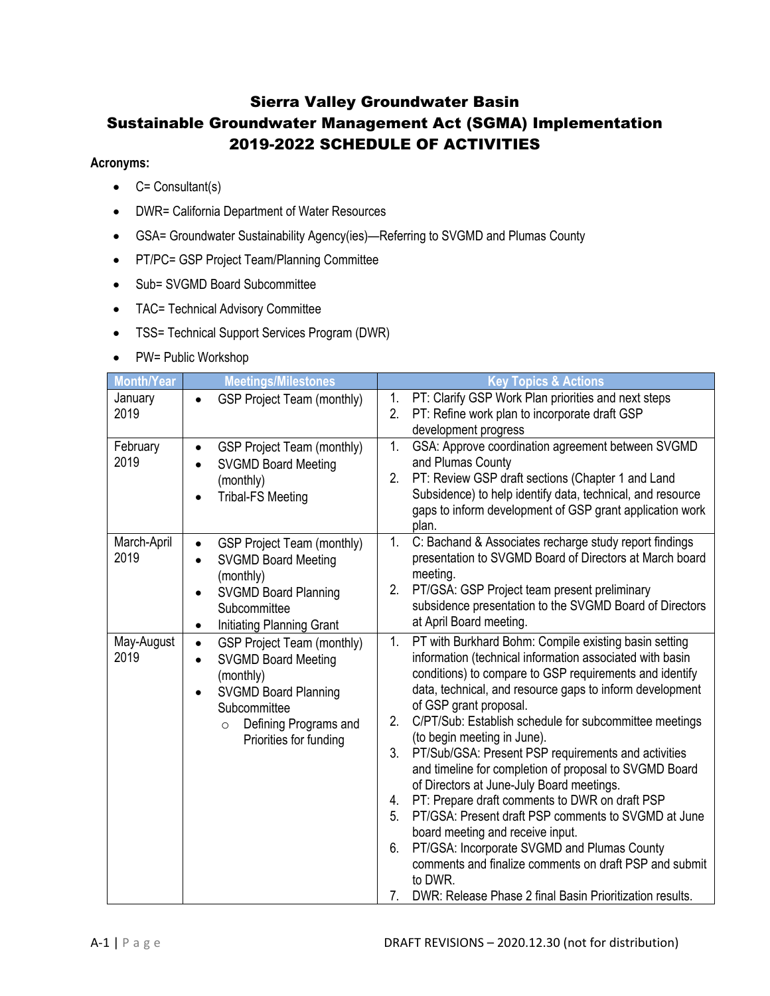# Sierra Valley Groundwater Basin Sustainable Groundwater Management Act (SGMA) Implementation 2019-2022 SCHEDULE OF ACTIVITIES

#### **Acronyms:**

- $\bullet$  C= Consultant(s)
- DWR= California Department of Water Resources
- GSA= Groundwater Sustainability Agency(ies)—Referring to SVGMD and Plumas County
- PT/PC= GSP Project Team/Planning Committee
- Sub= SVGMD Board Subcommittee
- TAC= Technical Advisory Committee
- TSS= Technical Support Services Program (DWR)
- PW= Public Workshop

| <b>Month/Year</b>   | <b>Meetings/Milestones</b>                                                                                                                                                                                                       | <b>Key Topics &amp; Actions</b>                                                                                                                                                                                                                                                                                                                                                                                                                                                                                                                                                                                                                                                                                                                                                                                                                                                                              |
|---------------------|----------------------------------------------------------------------------------------------------------------------------------------------------------------------------------------------------------------------------------|--------------------------------------------------------------------------------------------------------------------------------------------------------------------------------------------------------------------------------------------------------------------------------------------------------------------------------------------------------------------------------------------------------------------------------------------------------------------------------------------------------------------------------------------------------------------------------------------------------------------------------------------------------------------------------------------------------------------------------------------------------------------------------------------------------------------------------------------------------------------------------------------------------------|
| January<br>2019     | <b>GSP Project Team (monthly)</b>                                                                                                                                                                                                | 1.<br>PT: Clarify GSP Work Plan priorities and next steps<br>2.<br>PT: Refine work plan to incorporate draft GSP<br>development progress                                                                                                                                                                                                                                                                                                                                                                                                                                                                                                                                                                                                                                                                                                                                                                     |
| February<br>2019    | <b>GSP Project Team (monthly)</b><br>$\bullet$<br><b>SVGMD Board Meeting</b><br>(monthly)<br><b>Tribal-FS Meeting</b>                                                                                                            | 1 <sub>1</sub><br>GSA: Approve coordination agreement between SVGMD<br>and Plumas County<br>PT: Review GSP draft sections (Chapter 1 and Land<br>2.<br>Subsidence) to help identify data, technical, and resource<br>gaps to inform development of GSP grant application work<br>plan.                                                                                                                                                                                                                                                                                                                                                                                                                                                                                                                                                                                                                       |
| March-April<br>2019 | <b>GSP Project Team (monthly)</b><br>$\bullet$<br><b>SVGMD Board Meeting</b><br>٠<br>(monthly)<br><b>SVGMD Board Planning</b><br>$\bullet$<br>Subcommittee<br>Initiating Planning Grant<br>$\bullet$                             | C: Bachand & Associates recharge study report findings<br>1.<br>presentation to SVGMD Board of Directors at March board<br>meeting.<br>2.<br>PT/GSA: GSP Project team present preliminary<br>subsidence presentation to the SVGMD Board of Directors<br>at April Board meeting.                                                                                                                                                                                                                                                                                                                                                                                                                                                                                                                                                                                                                              |
| May-August<br>2019  | <b>GSP Project Team (monthly)</b><br>$\bullet$<br><b>SVGMD Board Meeting</b><br>$\bullet$<br>(monthly)<br><b>SVGMD Board Planning</b><br>$\bullet$<br>Subcommittee<br>Defining Programs and<br>$\circ$<br>Priorities for funding | PT with Burkhard Bohm: Compile existing basin setting<br>1.<br>information (technical information associated with basin<br>conditions) to compare to GSP requirements and identify<br>data, technical, and resource gaps to inform development<br>of GSP grant proposal.<br>2.<br>C/PT/Sub: Establish schedule for subcommittee meetings<br>(to begin meeting in June).<br>3 <sub>1</sub><br>PT/Sub/GSA: Present PSP requirements and activities<br>and timeline for completion of proposal to SVGMD Board<br>of Directors at June-July Board meetings.<br>PT: Prepare draft comments to DWR on draft PSP<br>4.<br>PT/GSA: Present draft PSP comments to SVGMD at June<br>5.<br>board meeting and receive input.<br>PT/GSA: Incorporate SVGMD and Plumas County<br>6.<br>comments and finalize comments on draft PSP and submit<br>to DWR.<br>7.<br>DWR: Release Phase 2 final Basin Prioritization results. |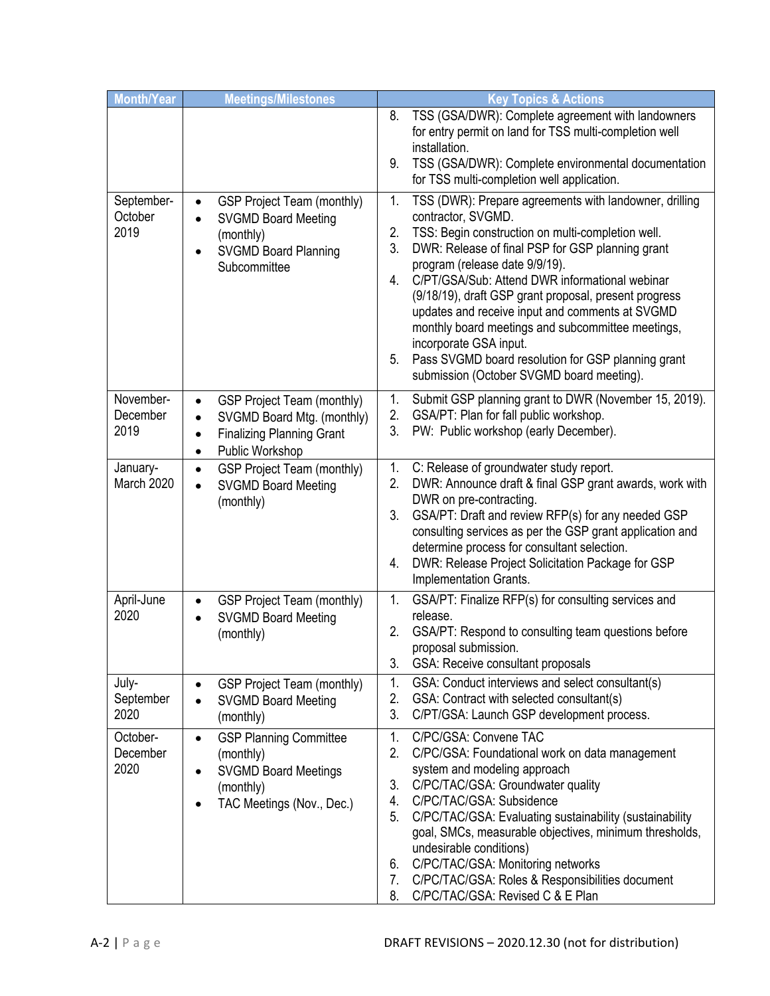| <b>Month/Year</b>             | <b>Meetings/Milestones</b>                                                                                                                                                 | <b>Key Topics &amp; Actions</b>                                                                                                                                                                                                                                                                                                                                                                                                                                                                                                                                                                       |
|-------------------------------|----------------------------------------------------------------------------------------------------------------------------------------------------------------------------|-------------------------------------------------------------------------------------------------------------------------------------------------------------------------------------------------------------------------------------------------------------------------------------------------------------------------------------------------------------------------------------------------------------------------------------------------------------------------------------------------------------------------------------------------------------------------------------------------------|
|                               |                                                                                                                                                                            | TSS (GSA/DWR): Complete agreement with landowners<br>8.<br>for entry permit on land for TSS multi-completion well<br>installation.<br>9.<br>TSS (GSA/DWR): Complete environmental documentation<br>for TSS multi-completion well application.                                                                                                                                                                                                                                                                                                                                                         |
| September-<br>October<br>2019 | <b>GSP Project Team (monthly)</b><br>$\bullet$<br><b>SVGMD Board Meeting</b><br>$\bullet$<br>(monthly)<br><b>SVGMD Board Planning</b><br>Subcommittee                      | 1.<br>TSS (DWR): Prepare agreements with landowner, drilling<br>contractor, SVGMD.<br>2.<br>TSS: Begin construction on multi-completion well.<br>3.<br>DWR: Release of final PSP for GSP planning grant<br>program (release date 9/9/19).<br>C/PT/GSA/Sub: Attend DWR informational webinar<br>4.<br>(9/18/19), draft GSP grant proposal, present progress<br>updates and receive input and comments at SVGMD<br>monthly board meetings and subcommittee meetings,<br>incorporate GSA input.<br>Pass SVGMD board resolution for GSP planning grant<br>5.<br>submission (October SVGMD board meeting). |
| November-<br>December<br>2019 | <b>GSP Project Team (monthly)</b><br>$\bullet$<br>SVGMD Board Mtg. (monthly)<br>$\bullet$<br><b>Finalizing Planning Grant</b><br>$\bullet$<br>Public Workshop<br>$\bullet$ | 1.<br>Submit GSP planning grant to DWR (November 15, 2019).<br>2.<br>GSA/PT: Plan for fall public workshop.<br>3.<br>PW: Public workshop (early December).                                                                                                                                                                                                                                                                                                                                                                                                                                            |
| January-<br>March 2020        | <b>GSP Project Team (monthly)</b><br>$\bullet$<br><b>SVGMD Board Meeting</b><br>$\bullet$<br>(monthly)                                                                     | C: Release of groundwater study report.<br>1.<br>2.<br>DWR: Announce draft & final GSP grant awards, work with<br>DWR on pre-contracting.<br>GSA/PT: Draft and review RFP(s) for any needed GSP<br>3.<br>consulting services as per the GSP grant application and<br>determine process for consultant selection.<br>DWR: Release Project Solicitation Package for GSP<br>4.<br>Implementation Grants.                                                                                                                                                                                                 |
| April-June<br>2020            | GSP Project Team (monthly)<br>$\bullet$<br><b>SVGMD Board Meeting</b><br>(monthly)                                                                                         | GSA/PT: Finalize RFP(s) for consulting services and<br>1.<br>release.<br>2.<br>GSA/PT: Respond to consulting team questions before<br>proposal submission.<br>3.<br>GSA: Receive consultant proposals                                                                                                                                                                                                                                                                                                                                                                                                 |
| July-<br>September<br>2020    | <b>GSP Project Team (monthly)</b><br>$\bullet$<br><b>SVGMD Board Meeting</b><br>$\bullet$<br>(monthly)                                                                     | 1.<br>GSA: Conduct interviews and select consultant(s)<br>2.<br>GSA: Contract with selected consultant(s)<br>3.<br>C/PT/GSA: Launch GSP development process.                                                                                                                                                                                                                                                                                                                                                                                                                                          |
| October-<br>December<br>2020  | <b>GSP Planning Committee</b><br>$\bullet$<br>(monthly)<br><b>SVGMD Board Meetings</b><br>$\bullet$<br>(monthly)<br>TAC Meetings (Nov., Dec.)                              | 1.<br>C/PC/GSA: Convene TAC<br>2.<br>C/PC/GSA: Foundational work on data management<br>system and modeling approach<br>3.<br>C/PC/TAC/GSA: Groundwater quality<br>C/PC/TAC/GSA: Subsidence<br>4.<br>C/PC/TAC/GSA: Evaluating sustainability (sustainability<br>5.<br>goal, SMCs, measurable objectives, minimum thresholds,<br>undesirable conditions)<br>C/PC/TAC/GSA: Monitoring networks<br>6.<br>7.<br>C/PC/TAC/GSA: Roles & Responsibilities document<br>8.<br>C/PC/TAC/GSA: Revised C & E Plan                                                                                                  |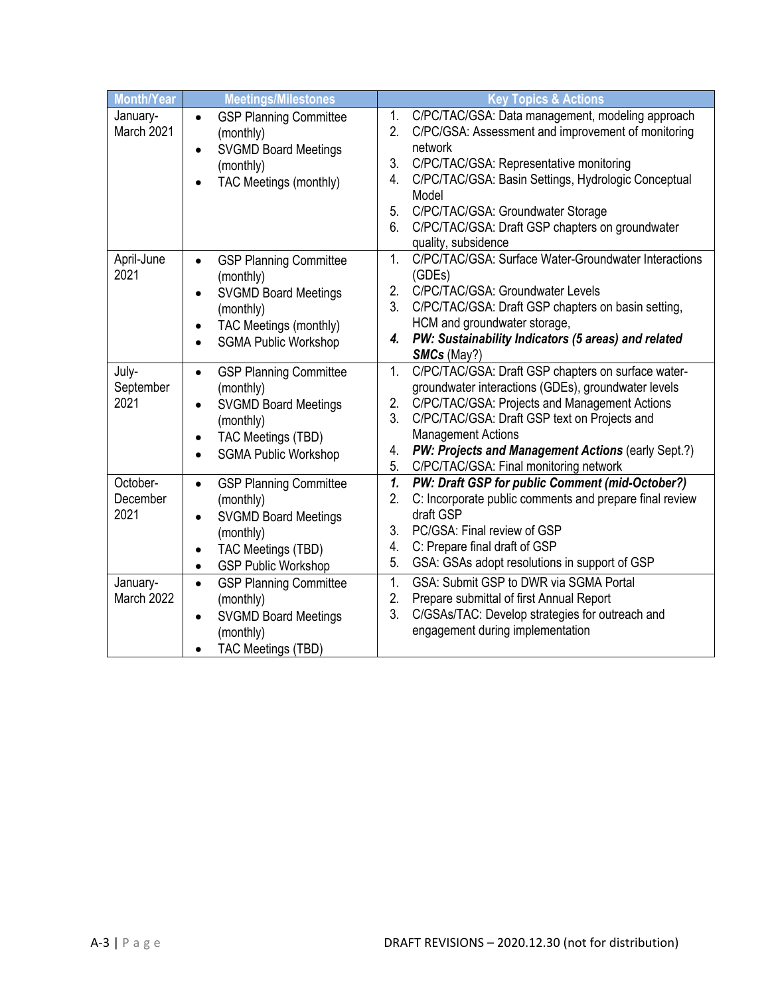| <b>Month/Year</b>            | <b>Meetings/Milestones</b>                                                                                                                                                                          | <b>Key Topics &amp; Actions</b>                                                                                                                                                                                                                                                                                                                                                 |
|------------------------------|-----------------------------------------------------------------------------------------------------------------------------------------------------------------------------------------------------|---------------------------------------------------------------------------------------------------------------------------------------------------------------------------------------------------------------------------------------------------------------------------------------------------------------------------------------------------------------------------------|
| January-<br>March 2021       | <b>GSP Planning Committee</b><br>$\bullet$<br>(monthly)<br><b>SVGMD Board Meetings</b><br>$\bullet$<br>(monthly)<br>TAC Meetings (monthly)                                                          | C/PC/TAC/GSA: Data management, modeling approach<br>1.<br>2.<br>C/PC/GSA: Assessment and improvement of monitoring<br>network<br>3.<br>C/PC/TAC/GSA: Representative monitoring<br>C/PC/TAC/GSA: Basin Settings, Hydrologic Conceptual<br>4.<br>Model<br>5.<br>C/PC/TAC/GSA: Groundwater Storage<br>C/PC/TAC/GSA: Draft GSP chapters on groundwater<br>6.<br>quality, subsidence |
| April-June<br>2021           | <b>GSP Planning Committee</b><br>$\bullet$<br>(monthly)<br><b>SVGMD Board Meetings</b><br>$\bullet$<br>(monthly)<br>TAC Meetings (monthly)<br>$\bullet$<br><b>SGMA Public Workshop</b><br>$\bullet$ | C/PC/TAC/GSA: Surface Water-Groundwater Interactions<br>1.<br>(GDEs)<br>2.<br>C/PC/TAC/GSA: Groundwater Levels<br>3.<br>C/PC/TAC/GSA: Draft GSP chapters on basin setting,<br>HCM and groundwater storage,<br>PW: Sustainability Indicators (5 areas) and related<br>4.<br>SMCs (May?)                                                                                          |
| July-<br>September<br>2021   | <b>GSP Planning Committee</b><br>$\bullet$<br>(monthly)<br><b>SVGMD Board Meetings</b><br>$\bullet$<br>(monthly)<br>TAC Meetings (TBD)<br>$\bullet$<br><b>SGMA Public Workshop</b>                  | C/PC/TAC/GSA: Draft GSP chapters on surface water-<br>1.<br>groundwater interactions (GDEs), groundwater levels<br>2.<br>C/PC/TAC/GSA: Projects and Management Actions<br>3.<br>C/PC/TAC/GSA: Draft GSP text on Projects and<br><b>Management Actions</b><br>PW: Projects and Management Actions (early Sept.?)<br>4.<br>5.<br>C/PC/TAC/GSA: Final monitoring network           |
| October-<br>December<br>2021 | <b>GSP Planning Committee</b><br>$\bullet$<br>(monthly)<br><b>SVGMD Board Meetings</b><br>$\bullet$<br>(monthly)<br>TAC Meetings (TBD)<br>$\bullet$<br><b>GSP Public Workshop</b><br>$\bullet$      | 1.<br>PW: Draft GSP for public Comment (mid-October?)<br>2.<br>C: Incorporate public comments and prepare final review<br>draft GSP<br>3.<br>PC/GSA: Final review of GSP<br>C: Prepare final draft of GSP<br>4.<br>5.<br>GSA: GSAs adopt resolutions in support of GSP                                                                                                          |
| January-<br>March 2022       | <b>GSP Planning Committee</b><br>$\bullet$<br>(monthly)<br><b>SVGMD Board Meetings</b><br>$\bullet$<br>(monthly)<br><b>TAC Meetings (TBD)</b>                                                       | GSA: Submit GSP to DWR via SGMA Portal<br>1.<br>2.<br>Prepare submittal of first Annual Report<br>3.<br>C/GSAs/TAC: Develop strategies for outreach and<br>engagement during implementation                                                                                                                                                                                     |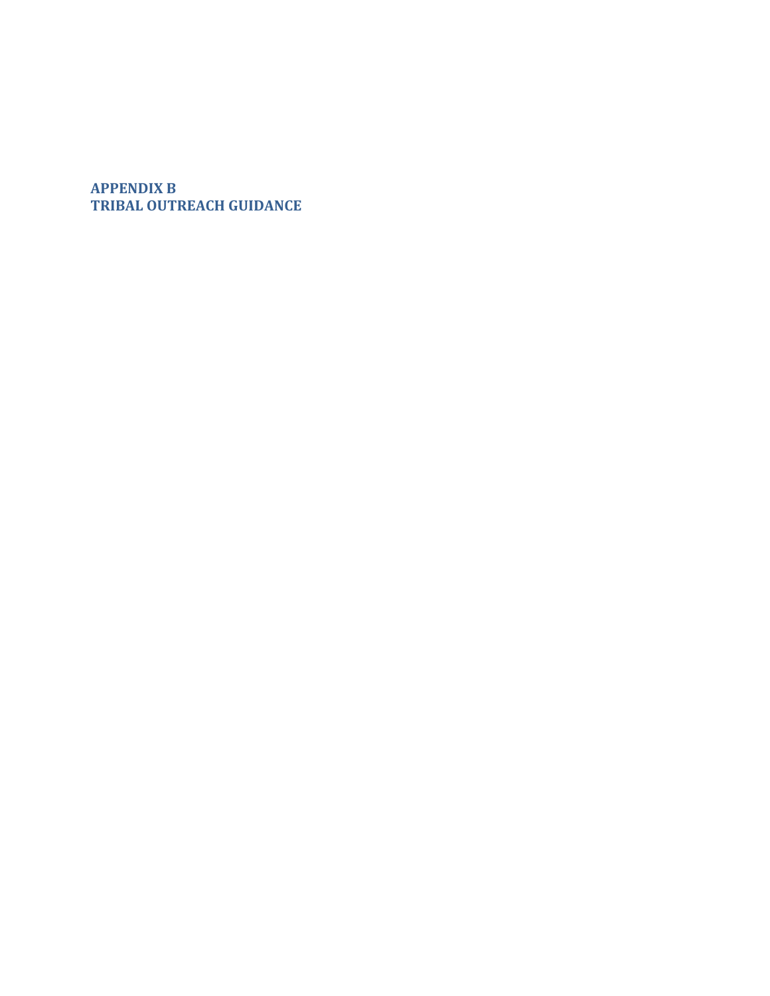# **APPENDIX B TRIBAL OUTREACH GUIDANCE**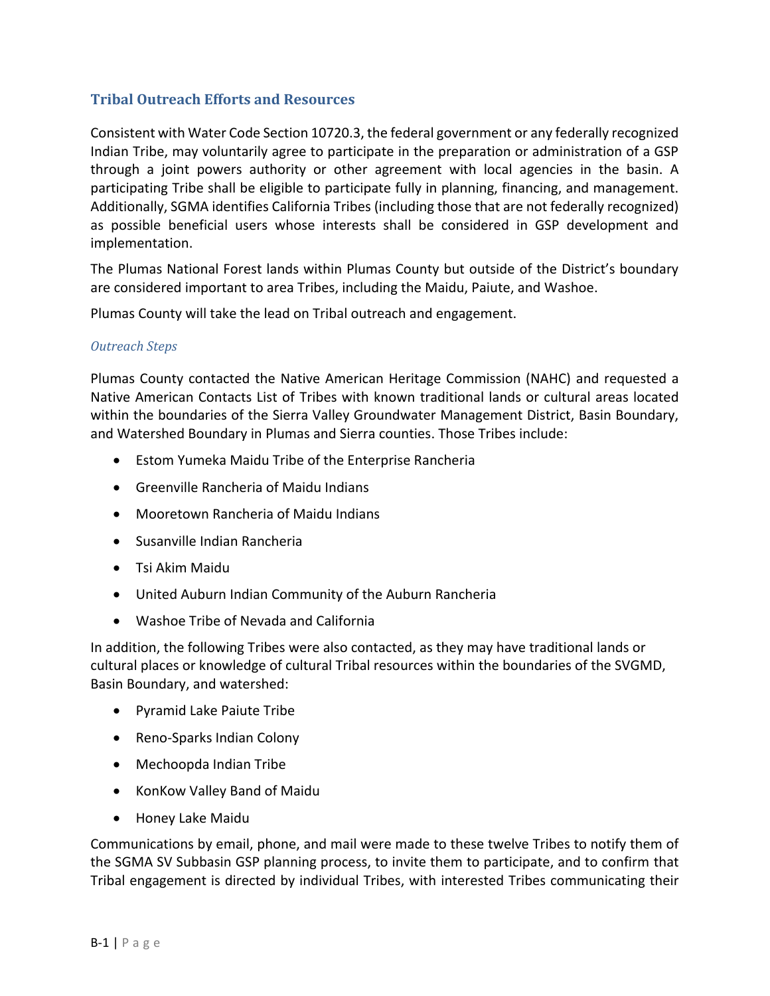### **Tribal Outreach Efforts and Resources**

Consistent with Water Code Section 10720.3, the federal government or any federally recognized Indian Tribe, may voluntarily agree to participate in the preparation or administration of a GSP through a joint powers authority or other agreement with local agencies in the basin. A participating Tribe shall be eligible to participate fully in planning, financing, and management. Additionally, SGMA identifies California Tribes (including those that are not federally recognized) as possible beneficial users whose interests shall be considered in GSP development and implementation.

The Plumas National Forest lands within Plumas County but outside of the District's boundary are considered important to area Tribes, including the Maidu, Paiute, and Washoe.

Plumas County will take the lead on Tribal outreach and engagement.

#### *Outreach Steps*

Plumas County contacted the Native American Heritage Commission (NAHC) and requested a Native American Contacts List of Tribes with known traditional lands or cultural areas located within the boundaries of the Sierra Valley Groundwater Management District, Basin Boundary, and Watershed Boundary in Plumas and Sierra counties. Those Tribes include:

- Estom Yumeka Maidu Tribe of the Enterprise Rancheria
- Greenville Rancheria of Maidu Indians
- Mooretown Rancheria of Maidu Indians
- Susanville Indian Rancheria
- Tsi Akim Maidu
- United Auburn Indian Community of the Auburn Rancheria
- Washoe Tribe of Nevada and California

In addition, the following Tribes were also contacted, as they may have traditional lands or cultural places or knowledge of cultural Tribal resources within the boundaries of the SVGMD, Basin Boundary, and watershed:

- Pyramid Lake Paiute Tribe
- Reno-Sparks Indian Colony
- Mechoopda Indian Tribe
- KonKow Valley Band of Maidu
- Honey Lake Maidu

Communications by email, phone, and mail were made to these twelve Tribes to notify them of the SGMA SV Subbasin GSP planning process, to invite them to participate, and to confirm that Tribal engagement is directed by individual Tribes, with interested Tribes communicating their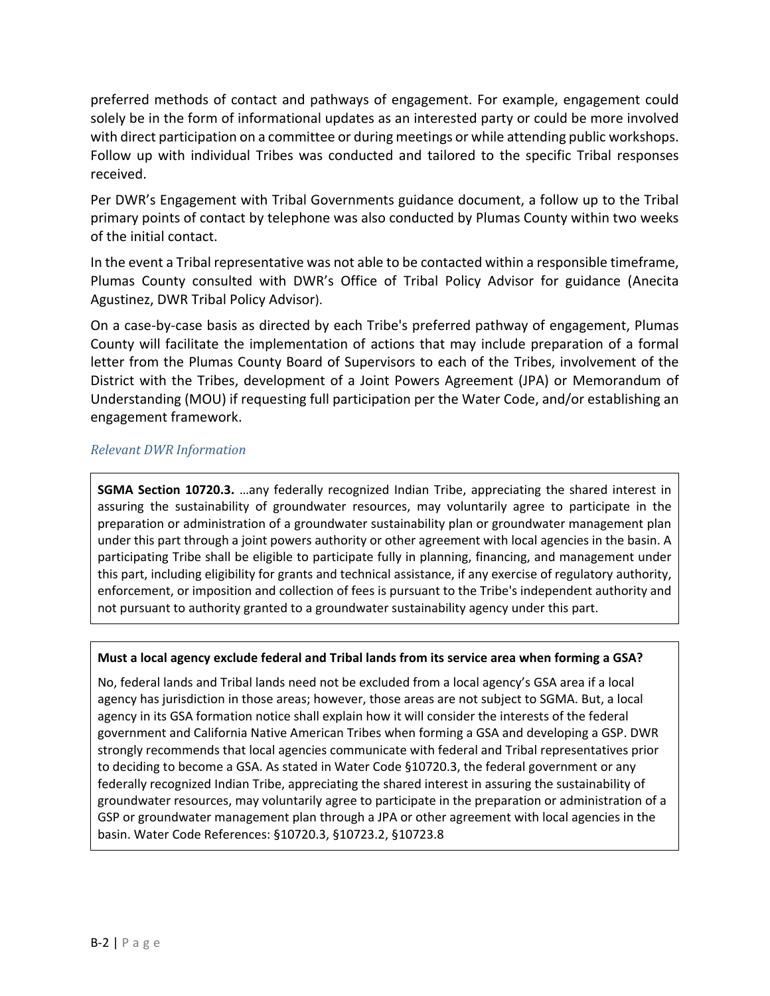preferred methods of contact and pathways of engagement. For example, engagement could solely be in the form of informational updates as an interested party or could be more involved with direct participation on a committee or during meetings or while attending public workshops. Follow up with individual Tribes was conducted and tailored to the specific Tribal responses received.

Per DWR's Engagement with Tribal Governments guidance document, a follow up to the Tribal primary points of contact by telephone was also conducted by Plumas County within two weeks of the initial contact.

In the event a Tribal representative was not able to be contacted within a responsible timeframe, Plumas County consulted with DWR's Office of Tribal Policy Advisor for guidance (Anecita Agustinez, DWR Tribal Policy Advisor).

On a case-by-case basis as directed by each Tribe's preferred pathway of engagement, Plumas County will facilitate the implementation of actions that may include preparation of a formal letter from the Plumas County Board of Supervisors to each of the Tribes, involvement of the District with the Tribes, development of a Joint Powers Agreement (JPA) or Memorandum of Understanding (MOU) if requesting full participation per the Water Code, and/or establishing an engagement framework.

### *Relevant DWR Information*

**SGMA Section 10720.3.** …any federally recognized Indian Tribe, appreciating the shared interest in assuring the sustainability of groundwater resources, may voluntarily agree to participate in the preparation or administration of a groundwater sustainability plan or groundwater management plan under this part through a joint powers authority or other agreement with local agencies in the basin. A participating Tribe shall be eligible to participate fully in planning, financing, and management under this part, including eligibility for grants and technical assistance, if any exercise of regulatory authority, enforcement, or imposition and collection of fees is pursuant to the Tribe's independent authority and not pursuant to authority granted to a groundwater sustainability agency under this part.

#### **Must a local agency exclude federal and Tribal lands from its service area when forming a GSA?**

No, federal lands and Tribal lands need not be excluded from a local agency's GSA area if a local agency has jurisdiction in those areas; however, those areas are not subject to SGMA. But, a local agency in its GSA formation notice shall explain how it will consider the interests of the federal government and California Native American Tribes when forming a GSA and developing a GSP. DWR strongly recommends that local agencies communicate with federal and Tribal representatives prior to deciding to become a GSA. As stated in Water Code §10720.3, the federal government or any federally recognized Indian Tribe, appreciating the shared interest in assuring the sustainability of groundwater resources, may voluntarily agree to participate in the preparation or administration of a GSP or groundwater management plan through a JPA or other agreement with local agencies in the basin. Water Code References: §10720.3, §10723.2, §10723.8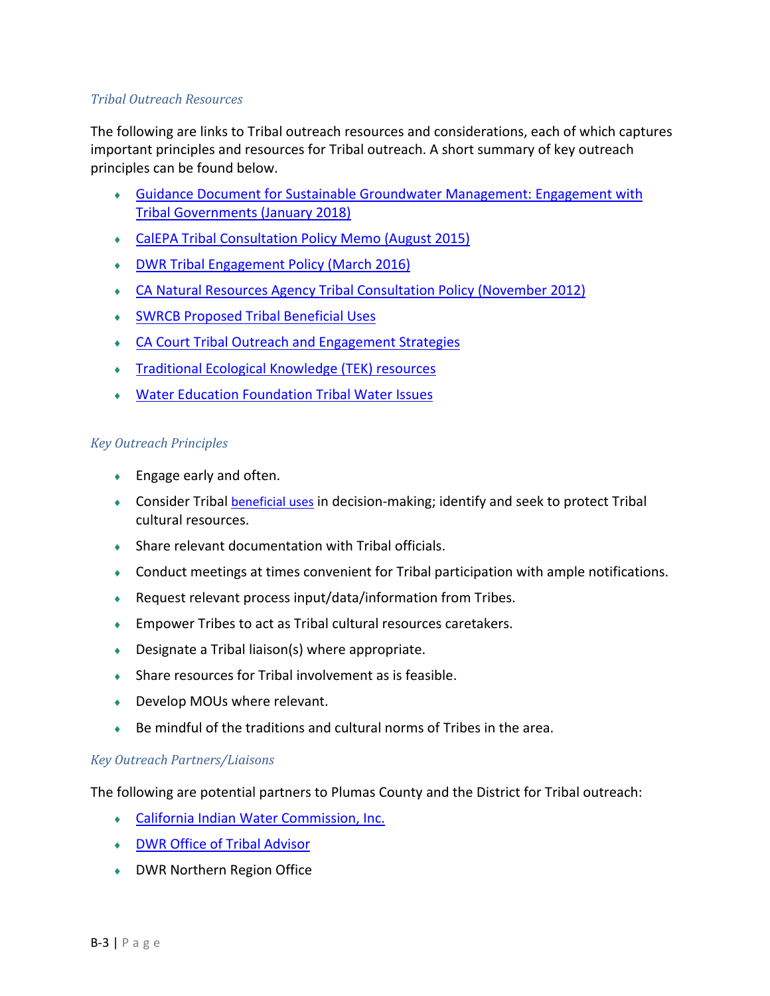#### *Tribal Outreach Resources*

The following are links to Tribal outreach resources and considerations, each of which captures important principles and resources for Tribal outreach. A short summary of key outreach principles can be found below.

- [Guidance Document for Sustainable Groundwater Management: Engagement](https://groundwaterexchange.org/wp-content/uploads/2020/02/Guidance_Document_Tribal_Governments.pdf) with [Tribal Governments \(January 2018\)](https://groundwaterexchange.org/wp-content/uploads/2020/02/Guidance_Document_Tribal_Governments.pdf)
- [CalEPA Tribal Consultation Policy Memo \(August 2015\)](https://calepa.ca.gov/wp-content/uploads/sites/6/2016/10/Tribal-Policy-2015Policy.pdf)
- [DWR Tribal Engagement Policy \(March 2016\)](https://water.ca.gov/-/media/DWR-Website/Web-Pages/Programs/Delta-Conveyance/Tribal-Engagement/DWR_Tribal_Engagement_Policy_508.pdf?la=en&hash=6C38228E4F44F37FE282BAC2C2DB4074D3C43E9F)
- [CA Natural Resources Agency Tribal Consultation Policy \(November 2012\)](https://resources.ca.gov/-/media/CNRA-Website/Files/Tribal-Policy/Final_Tribal_Policy.pdf?la=en&hash=72DFE3AE1D0F80E57F8BAD43211EAA1E256F8299&hash=72DFE3AE1D0F80E57F8BAD43211EAA1E256F8299)
- [SWRCB Proposed Tribal Beneficial Uses](http://www.waterboards.ca.gov/about_us/public_participation/tribal_affairs/beneficial_uses.shtml)
- [CA Court Tribal Outreach and Engagement Strategies](http://www.courts.ca.gov/partners/documents/2011SRL1cStrategies.pdf)
- [Traditional Ecological Knowledge \(TEK\) resources](http://climate.calcommons.org/article/tek)
- [Water Education Foundation Tribal Water Issues](http://www.watereducation.org/topic-tribal-water-issues)

#### *Key Outreach Principles*

- ◆ Engage early and often.
- **Consider Tribal** *[beneficial uses](https://www.waterboards.ca.gov/about_us/public_participation/tribal_affairs/docs/bu_regions.pdf)* in decision-making; identify and seek to protect Tribal cultural resources.
- Share relevant documentation with Tribal officials.
- Conduct meetings at times convenient for Tribal participation with ample notifications.
- Request relevant process input/data/information from Tribes.
- Empower Tribes to act as Tribal cultural resources caretakers.
- $\bullet$  Designate a Tribal liaison(s) where appropriate.
- Share resources for Tribal involvement as is feasible.
- ◆ Develop MOUs where relevant.
- Be mindful of the traditions and cultural norms of Tribes in the area.

#### *Key Outreach Partners/Liaisons*

The following are potential partners to Plumas County and the District for Tribal outreach:

- [California Indian Water Commission, Inc.](https://www.facebook.com/CaliforniaIndianWaterCommission/)
- [DWR Office of Tribal Advisor](https://water.ca.gov/About/Tribal-Policy)
- DWR Northern Region Office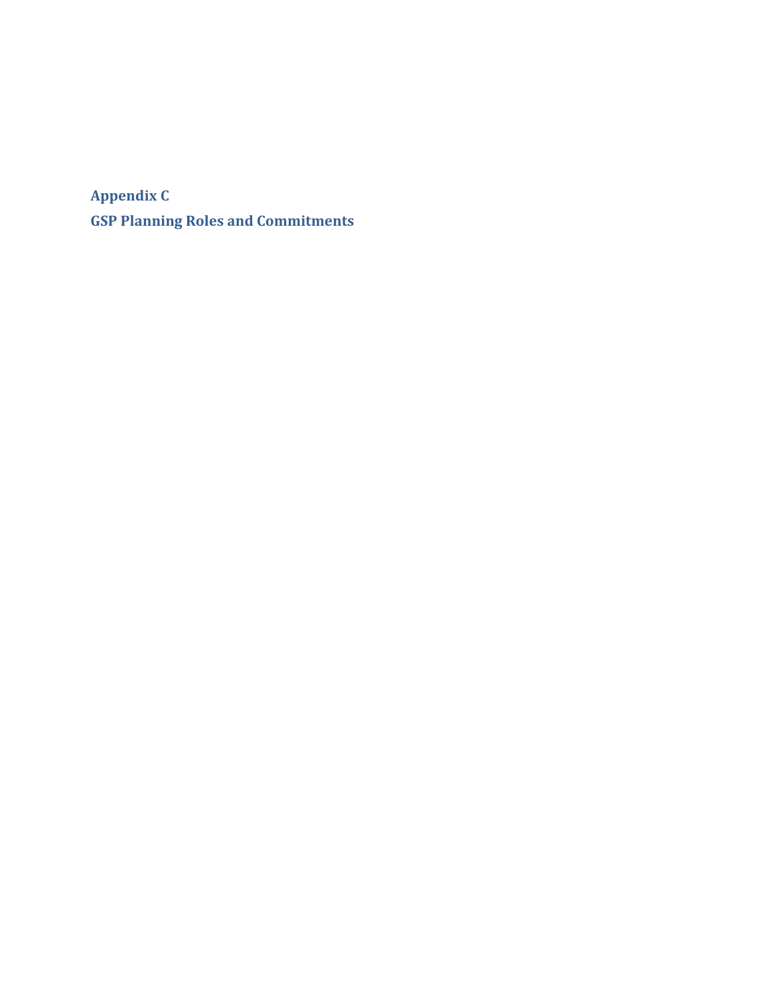**Appendix C GSP Planning Roles and Commitments**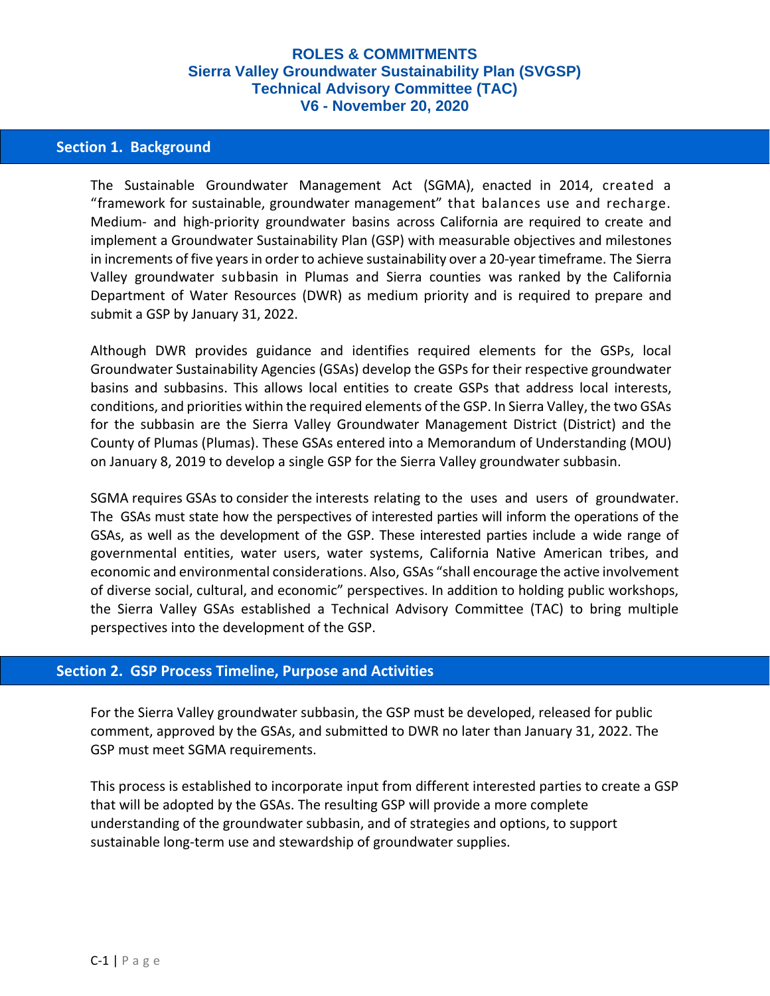### **Section 1. Background**

The Sustainable Groundwater Management Act (SGMA), enacted in 2014, created a "framework for sustainable, groundwater management" that balances use and recharge. Medium- and high-priority groundwater basins across California are required to create and implement a Groundwater Sustainability Plan (GSP) with measurable objectives and milestones in increments of five years in order to achieve sustainability over a 20-year timeframe. The Sierra Valley groundwater subbasin in Plumas and Sierra counties was ranked by the California Department of Water Resources (DWR) as medium priority and is required to prepare and submit a GSP by January 31, 2022.

Although DWR provides guidance and identifies required elements for the GSPs, local Groundwater Sustainability Agencies (GSAs) develop the GSPs for their respective groundwater basins and subbasins. This allows local entities to create GSPs that address local interests, conditions, and priorities within the required elements of the GSP. In Sierra Valley, the two GSAs for the subbasin are the Sierra Valley Groundwater Management District (District) and the County of Plumas (Plumas). These GSAs entered into a Memorandum of Understanding (MOU) on January 8, 2019 to develop a single GSP for the Sierra Valley groundwater subbasin.

SGMA requires GSAs to consider the interests relating to the uses and users of groundwater. The GSAs must state how the perspectives of interested parties will inform the operations of the GSAs, as well as the development of the GSP. These interested parties include a wide range of governmental entities, water users, water systems, California Native American tribes, and economic and environmental considerations. Also, GSAs "shall encourage the active involvement of diverse social, cultural, and economic" perspectives. In addition to holding public workshops, the Sierra Valley GSAs established a Technical Advisory Committee (TAC) to bring multiple perspectives into the development of the GSP.

#### **Section 2. GSP Process Timeline, Purpose and Activities**

For the Sierra Valley groundwater subbasin, the GSP must be developed, released for public comment, approved by the GSAs, and submitted to DWR no later than January 31, 2022. The GSP must meet SGMA requirements.

This process is established to incorporate input from different interested parties to create a GSP that will be adopted by the GSAs. The resulting GSP will provide a more complete understanding of the groundwater subbasin, and of strategies and options, to support sustainable long-term use and stewardship of groundwater supplies.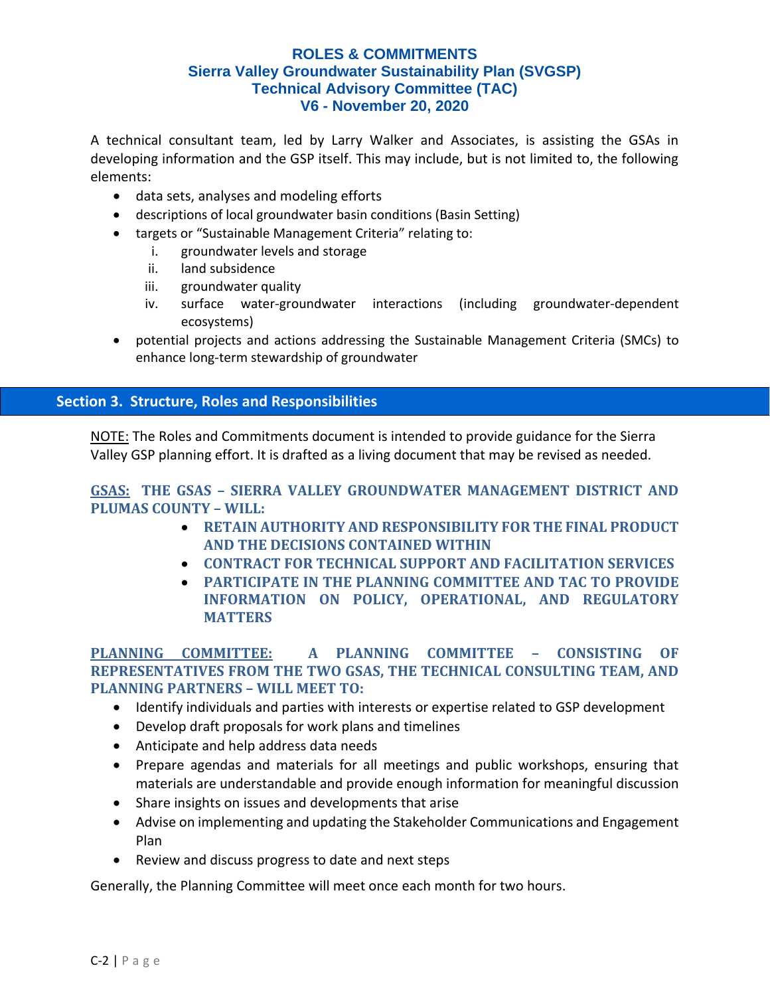A technical consultant team, led by Larry Walker and Associates, is assisting the GSAs in developing information and the GSP itself. This may include, but is not limited to, the following elements:

- data sets, analyses and modeling efforts
- descriptions of local groundwater basin conditions (Basin Setting)
- targets or "Sustainable Management Criteria" relating to:
	- i. groundwater levels and storage
	- ii. land subsidence
	- iii. groundwater quality
	- iv. surface water-groundwater interactions (including groundwater-dependent ecosystems)
- potential projects and actions addressing the Sustainable Management Criteria (SMCs) to enhance long-term stewardship of groundwater

# **Section 3. Structure, Roles and Responsibilities**

NOTE: The Roles and Commitments document is intended to provide guidance for the Sierra Valley GSP planning effort. It is drafted as a living document that may be revised as needed.

# **GSAS: THE GSAS – SIERRA VALLEY GROUNDWATER MANAGEMENT DISTRICT AND PLUMAS COUNTY – WILL:**

- **RETAIN AUTHORITY AND RESPONSIBILITY FOR THE FINAL PRODUCT AND THE DECISIONS CONTAINED WITHIN**
- **CONTRACT FOR TECHNICAL SUPPORT AND FACILITATION SERVICES**
- **PARTICIPATE IN THE PLANNING COMMITTEE AND TAC TO PROVIDE INFORMATION ON POLICY, OPERATIONAL, AND REGULATORY MATTERS**

**PLANNING COMMITTEE: A PLANNING COMMITTEE – CONSISTING OF REPRESENTATIVES FROM THE TWO GSAS, THE TECHNICAL CONSULTING TEAM, AND PLANNING PARTNERS – WILL MEET TO:**

- Identify individuals and parties with interests or expertise related to GSP development
- Develop draft proposals for work plans and timelines
- Anticipate and help address data needs
- Prepare agendas and materials for all meetings and public workshops, ensuring that materials are understandable and provide enough information for meaningful discussion
- Share insights on issues and developments that arise
- Advise on implementing and updating the Stakeholder Communications and Engagement Plan
- Review and discuss progress to date and next steps

Generally, the Planning Committee will meet once each month for two hours.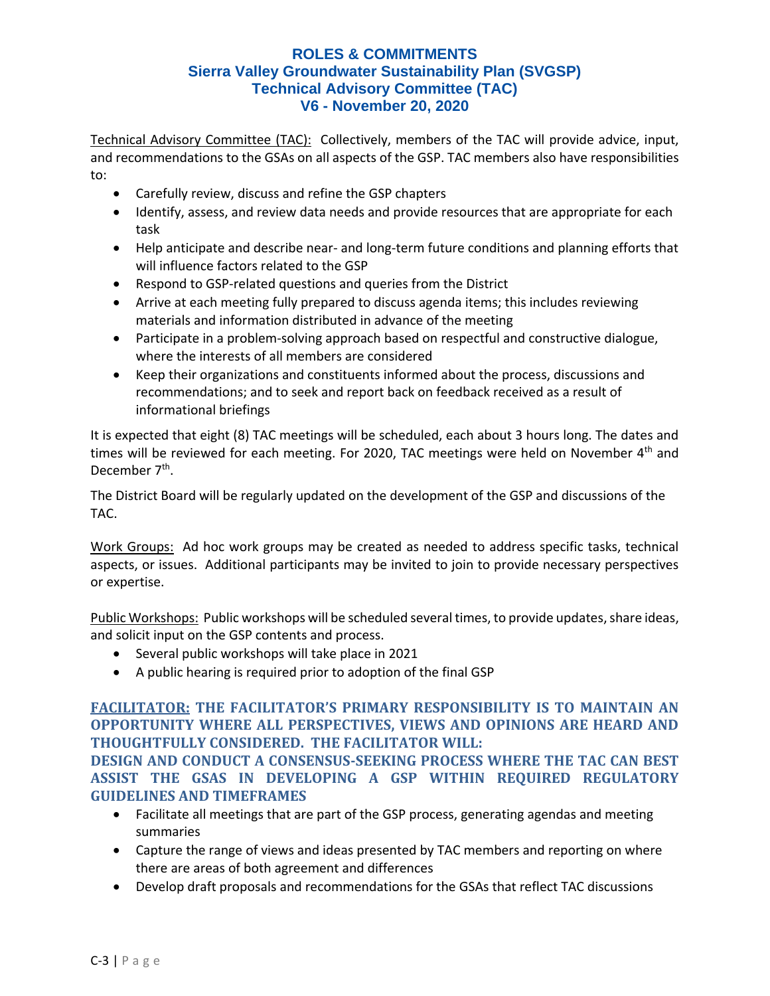Technical Advisory Committee (TAC): Collectively, members of the TAC will provide advice, input, and recommendations to the GSAs on all aspects of the GSP. TAC members also have responsibilities to:

- Carefully review, discuss and refine the GSP chapters
- Identify, assess, and review data needs and provide resources that are appropriate for each task
- Help anticipate and describe near- and long-term future conditions and planning efforts that will influence factors related to the GSP
- Respond to GSP-related questions and queries from the District
- Arrive at each meeting fully prepared to discuss agenda items; this includes reviewing materials and information distributed in advance of the meeting
- Participate in a problem-solving approach based on respectful and constructive dialogue, where the interests of all members are considered
- Keep their organizations and constituents informed about the process, discussions and recommendations; and to seek and report back on feedback received as a result of informational briefings

It is expected that eight (8) TAC meetings will be scheduled, each about 3 hours long. The dates and times will be reviewed for each meeting. For 2020, TAC meetings were held on November 4<sup>th</sup> and December 7<sup>th</sup>.

The District Board will be regularly updated on the development of the GSP and discussions of the TAC.

Work Groups: Ad hoc work groups may be created as needed to address specific tasks, technical aspects, or issues. Additional participants may be invited to join to provide necessary perspectives or expertise.

Public Workshops: Public workshops will be scheduled several times, to provide updates, share ideas, and solicit input on the GSP contents and process.

- Several public workshops will take place in 2021
- A public hearing is required prior to adoption of the final GSP

# **FACILITATOR: THE FACILITATOR'S PRIMARY RESPONSIBILITY IS TO MAINTAIN AN OPPORTUNITY WHERE ALL PERSPECTIVES, VIEWS AND OPINIONS ARE HEARD AND THOUGHTFULLY CONSIDERED. THE FACILITATOR WILL:**

**DESIGN AND CONDUCT A CONSENSUS-SEEKING PROCESS WHERE THE TAC CAN BEST ASSIST THE GSAS IN DEVELOPING A GSP WITHIN REQUIRED REGULATORY GUIDELINES AND TIMEFRAMES**

- Facilitate all meetings that are part of the GSP process, generating agendas and meeting summaries
- Capture the range of views and ideas presented by TAC members and reporting on where there are areas of both agreement and differences
- Develop draft proposals and recommendations for the GSAs that reflect TAC discussions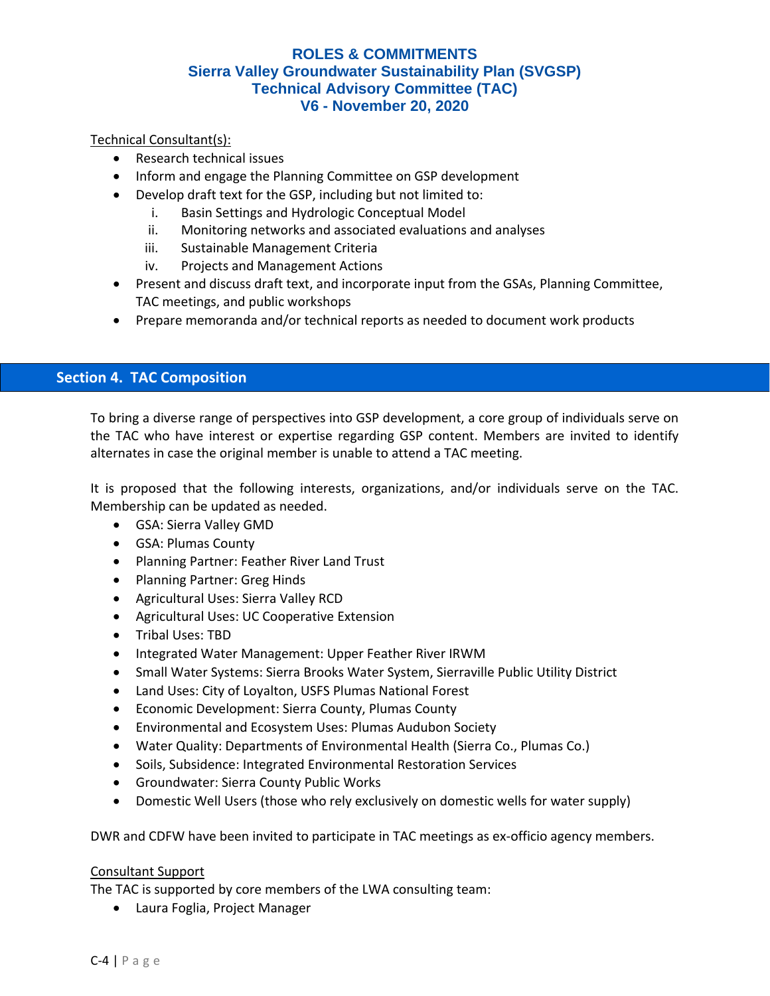Technical Consultant(s):

- Research technical issues
- Inform and engage the Planning Committee on GSP development
- Develop draft text for the GSP, including but not limited to:
	- i. Basin Settings and Hydrologic Conceptual Model
	- ii. Monitoring networks and associated evaluations and analyses
	- iii. Sustainable Management Criteria
	- iv. Projects and Management Actions
- Present and discuss draft text, and incorporate input from the GSAs, Planning Committee, TAC meetings, and public workshops
- Prepare memoranda and/or technical reports as needed to document work products

### **Section 4. TAC Composition**

To bring a diverse range of perspectives into GSP development, a core group of individuals serve on the TAC who have interest or expertise regarding GSP content. Members are invited to identify alternates in case the original member is unable to attend a TAC meeting.

It is proposed that the following interests, organizations, and/or individuals serve on the TAC. Membership can be updated as needed.

- GSA: Sierra Valley GMD
- GSA: Plumas County
- Planning Partner: Feather River Land Trust
- Planning Partner: Greg Hinds
- Agricultural Uses: Sierra Valley RCD
- Agricultural Uses: UC Cooperative Extension
- Tribal Uses: TBD
- Integrated Water Management: Upper Feather River IRWM
- Small Water Systems: Sierra Brooks Water System, Sierraville Public Utility District
- Land Uses: City of Loyalton, USFS Plumas National Forest
- Economic Development: Sierra County, Plumas County
- Environmental and Ecosystem Uses: Plumas Audubon Society
- Water Quality: Departments of Environmental Health (Sierra Co., Plumas Co.)
- Soils, Subsidence: Integrated Environmental Restoration Services
- Groundwater: Sierra County Public Works
- Domestic Well Users (those who rely exclusively on domestic wells for water supply)

DWR and CDFW have been invited to participate in TAC meetings as ex-officio agency members.

#### Consultant Support

The TAC is supported by core members of the LWA consulting team:

• Laura Foglia, Project Manager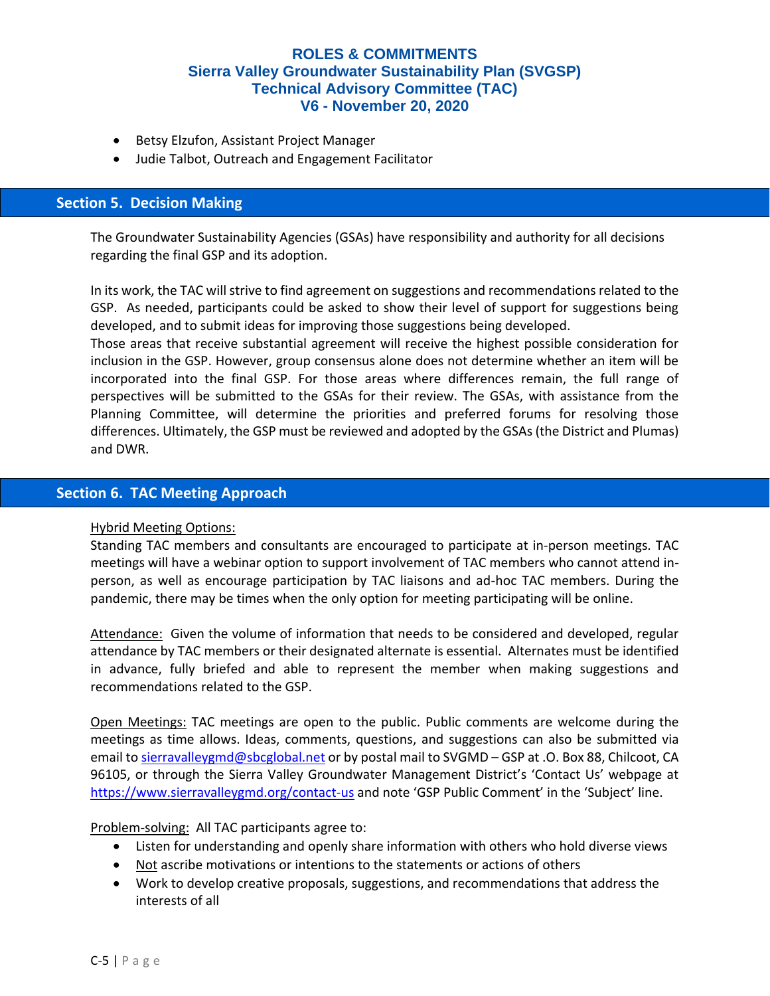- Betsy Elzufon, Assistant Project Manager
- Judie Talbot, Outreach and Engagement Facilitator

#### **Section 5. Decision Making**

The Groundwater Sustainability Agencies (GSAs) have responsibility and authority for all decisions regarding the final GSP and its adoption.

In its work, the TAC will strive to find agreement on suggestions and recommendations related to the GSP. As needed, participants could be asked to show their level of support for suggestions being developed, and to submit ideas for improving those suggestions being developed.

Those areas that receive substantial agreement will receive the highest possible consideration for inclusion in the GSP. However, group consensus alone does not determine whether an item will be incorporated into the final GSP. For those areas where differences remain, the full range of perspectives will be submitted to the GSAs for their review. The GSAs, with assistance from the Planning Committee, will determine the priorities and preferred forums for resolving those differences. Ultimately, the GSP must be reviewed and adopted by the GSAs (the District and Plumas) and DWR.

# **Section 6. TAC Meeting Approach**

#### Hybrid Meeting Options:

Standing TAC members and consultants are encouraged to participate at in-person meetings. TAC meetings will have a webinar option to support involvement of TAC members who cannot attend inperson, as well as encourage participation by TAC liaisons and ad-hoc TAC members. During the pandemic, there may be times when the only option for meeting participating will be online.

Attendance: Given the volume of information that needs to be considered and developed, regular attendance by TAC members or their designated alternate is essential. Alternates must be identified in advance, fully briefed and able to represent the member when making suggestions and recommendations related to the GSP.

Open Meetings: TAC meetings are open to the public. Public comments are welcome during the meetings as time allows. Ideas, comments, questions, and suggestions can also be submitted via email to [sierravalleygmd@sbcglobal.net](mailto:sierravalleygmd@sbcglobal.net) or by postal mail to SVGMD – GSP at .O. Box 88, Chilcoot, CA 96105, or through the Sierra Valley Groundwater Management District's 'Contact Us' webpage at <https://www.sierravalleygmd.org/contact-us> and note 'GSP Public Comment' in the 'Subject' line.

#### Problem-solving: All TAC participants agree to:

- Listen for understanding and openly share information with others who hold diverse views
- Not ascribe motivations or intentions to the statements or actions of others
- Work to develop creative proposals, suggestions, and recommendations that address the interests of all